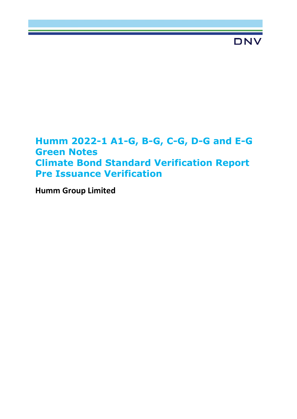# **Humm 2022-1 A1-G, B-G, C-G, D-G and E-G Green Notes Climate Bond Standard Verification Report Pre Issuance Verification**

**Humm Group Limited**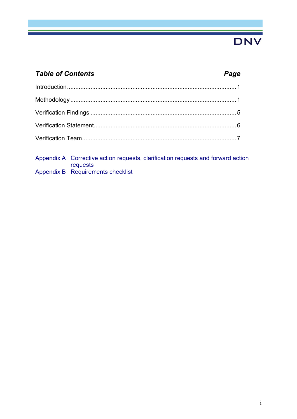## *Table of Contents Page*

Appendix A Corrective action requests, clarification requests and forward action requests Appendix B Requirements checklist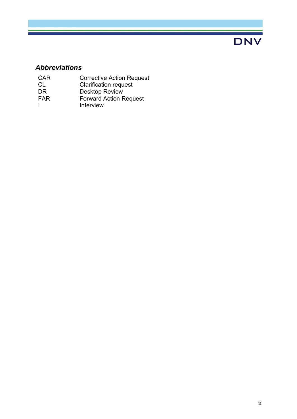### *Abbreviations*

- CAR Corrective Action Request
- CL Clarification request
- DR Desktop Review
- FAR Forward Action Request
- I Interview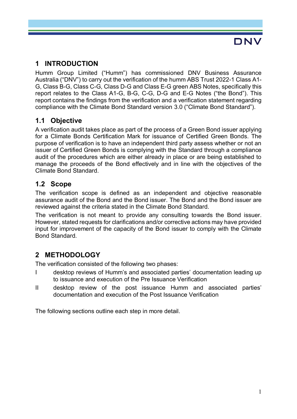### **1 INTRODUCTION**

Humm Group Limited ("Humm") has commissioned DNV Business Assurance Australia ("DNV") to carry out the verification of the humm ABS Trust 2022-1 Class A1- G, Class B-G, Class C-G, Class D-G and Class E-G green ABS Notes, specifically this report relates to the Class A1-G, B-G, C-G, D-G and E-G Notes ("the Bond"). This report contains the findings from the verification and a verification statement regarding compliance with the Climate Bond Standard version 3.0 ("Climate Bond Standard").

### **1.1 Objective**

A verification audit takes place as part of the process of a Green Bond issuer applying for a Climate Bonds Certification Mark for issuance of Certified Green Bonds. The purpose of verification is to have an independent third party assess whether or not an issuer of Certified Green Bonds is complying with the Standard through a compliance audit of the procedures which are either already in place or are being established to manage the proceeds of the Bond effectively and in line with the objectives of the Climate Bond Standard.

#### **1.2 Scope**

The verification scope is defined as an independent and objective reasonable assurance audit of the Bond and the Bond issuer. The Bond and the Bond issuer are reviewed against the criteria stated in the Climate Bond Standard.

The verification is not meant to provide any consulting towards the Bond issuer. However, stated requests for clarifications and/or corrective actions may have provided input for improvement of the capacity of the Bond issuer to comply with the Climate Bond Standard.

### **2 METHODOLOGY**

The verification consisted of the following two phases:

- I desktop reviews of Humm's and associated parties' documentation leading up to issuance and execution of the Pre Issuance Verification
- II desktop review of the post issuance Humm and associated parties' documentation and execution of the Post Issuance Verification

The following sections outline each step in more detail.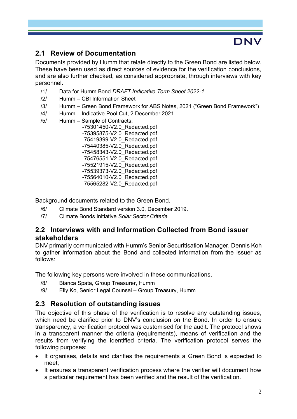### **2.1 Review of Documentation**

Documents provided by Humm that relate directly to the Green Bond are listed below. These have been used as direct sources of evidence for the verification conclusions, and are also further checked, as considered appropriate, through interviews with key personnel.

- /1/ Data for Humm Bond *DRAFT Indicative Term Sheet 2022-1*
- /2/ Humm CBI Information Sheet
- /3/ Humm Green Bond Framework for ABS Notes, 2021 ("Green Bond Framework")
- /4/ Humm Indicative Pool Cut, 2 December 2021
- /5/ Humm Sample of Contracts:

 -75301450-V2.0\_Redacted.pdf -75395875-V2.0\_Redacted.pdf -75419399-V2.0\_Redacted.pdf -75440385-V2.0\_Redacted.pdf -75458343-V2.0\_Redacted.pdf -75476551-V2.0\_Redacted.pdf -75521915-V2.0\_Redacted.pdf -75539373-V2.0\_Redacted.pdf -75564010-V2.0\_Redacted.pdf -75565282-V2.0\_Redacted.pdf

Background documents related to the Green Bond.

- /6/ Climate Bond Standard version 3.0, December 2019.
- /7/ Climate Bonds Initiative *Solar Sector Criteria*

#### **2.2 Interviews with and Information Collected from Bond issuer stakeholders**

DNV primarily communicated with Humm's Senior Securitisation Manager, Dennis Koh to gather information about the Bond and collected information from the issuer as follows:

The following key persons were involved in these communications.

- /8/ Bianca Spata, Group Treasurer, Humm
- /9/ Elly Ko, Senior Legal Counsel Group Treasury, Humm

#### **2.3 Resolution of outstanding issues**

The objective of this phase of the verification is to resolve any outstanding issues, which need be clarified prior to DNV's conclusion on the Bond. In order to ensure transparency, a verification protocol was customised for the audit. The protocol shows in a transparent manner the criteria (requirements), means of verification and the results from verifying the identified criteria. The verification protocol serves the following purposes:

- It organises, details and clarifies the requirements a Green Bond is expected to meet;
- It ensures a transparent verification process where the verifier will document how a particular requirement has been verified and the result of the verification.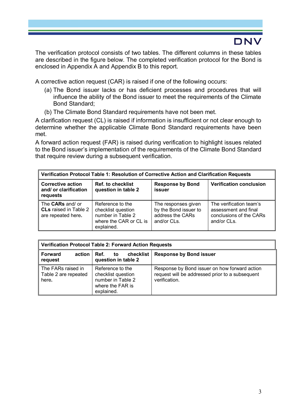The verification protocol consists of two tables. The different columns in these tables are described in the figure below. The completed verification protocol for the Bond is enclosed in Appendix A and Appendix B to this report.

A corrective action request (CAR) is raised if one of the following occurs:

- (a) The Bond issuer lacks or has deficient processes and procedures that will influence the ability of the Bond issuer to meet the requirements of the Climate Bond Standard;
- (b) The Climate Bond Standard requirements have not been met.

A clarification request (CL) is raised if information is insufficient or not clear enough to determine whether the applicable Climate Bond Standard requirements have been met.

A forward action request (FAR) is raised during verification to highlight issues related to the Bond issuer's implementation of the requirements of the Climate Bond Standard that require review during a subsequent verification.

| Verification Protocol Table 1: Resolution of Corrective Action and Clarification Requests |                                                                                                     |                                                                                 |                                                                                           |  |  |  |  |
|-------------------------------------------------------------------------------------------|-----------------------------------------------------------------------------------------------------|---------------------------------------------------------------------------------|-------------------------------------------------------------------------------------------|--|--|--|--|
| <b>Corrective action</b><br>and/ or clarification<br>requests                             | <b>Ref. to checklist</b><br>question in table 2                                                     | <b>Response by Bond</b><br><b>issuer</b>                                        | <b>Verification conclusion</b>                                                            |  |  |  |  |
| The <b>CARs</b> and/ or<br><b>CLs</b> raised in Table 2<br>are repeated here.             | Reference to the<br>checklist question<br>number in Table 2<br>where the CAR or CL is<br>explained. | The responses given<br>by the Bond issuer to<br>address the CARs<br>and/or CLs. | The verification team's<br>assessment and final<br>conclusions of the CARs<br>and/or CLs. |  |  |  |  |

| <b>Verification Protocol Table 2: Forward Action Requests</b> |                                                                                               |                                                                                                                   |  |  |  |  |  |  |
|---------------------------------------------------------------|-----------------------------------------------------------------------------------------------|-------------------------------------------------------------------------------------------------------------------|--|--|--|--|--|--|
| <b>Forward</b><br>action $\vert$ Ref.<br>request              | checklist<br>to<br>question in table 2                                                        | <b>Response by Bond issuer</b>                                                                                    |  |  |  |  |  |  |
| The FARs raised in<br>Table 2 are repeated<br>here.           | Reference to the<br>checklist question<br>number in Table 2<br>where the FAR is<br>explained. | Response by Bond issuer on how forward action<br>request will be addressed prior to a subsequent<br>verification. |  |  |  |  |  |  |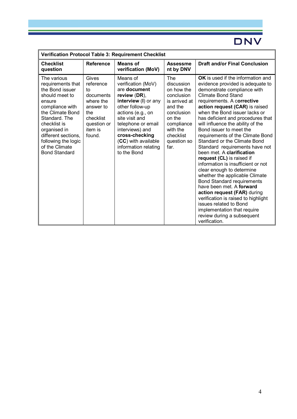| Verification Protocol Table 3: Requirement Checklist                                                                                                                                                                                                            |                                                                                                                         |                                                                                                                                                                                                                                                                           |                                                                                                                                                                 |                                                                                                                                                                                                                                                                                                                                                                                                                                                                                                                                                                                                                                                                                                                                                                                                                                                                    |  |  |  |  |
|-----------------------------------------------------------------------------------------------------------------------------------------------------------------------------------------------------------------------------------------------------------------|-------------------------------------------------------------------------------------------------------------------------|---------------------------------------------------------------------------------------------------------------------------------------------------------------------------------------------------------------------------------------------------------------------------|-----------------------------------------------------------------------------------------------------------------------------------------------------------------|--------------------------------------------------------------------------------------------------------------------------------------------------------------------------------------------------------------------------------------------------------------------------------------------------------------------------------------------------------------------------------------------------------------------------------------------------------------------------------------------------------------------------------------------------------------------------------------------------------------------------------------------------------------------------------------------------------------------------------------------------------------------------------------------------------------------------------------------------------------------|--|--|--|--|
| <b>Checklist</b><br>question                                                                                                                                                                                                                                    | <b>Reference</b>                                                                                                        | <b>Means of</b><br>verification (MoV)                                                                                                                                                                                                                                     | <b>Assessme</b><br>nt by DNV                                                                                                                                    | <b>Draft and/or Final Conclusion</b>                                                                                                                                                                                                                                                                                                                                                                                                                                                                                                                                                                                                                                                                                                                                                                                                                               |  |  |  |  |
| The various<br>requirements that<br>the Bond issuer<br>should meet to<br>ensure<br>compliance with<br>the Climate Bond<br>Standard. The<br>checklist is<br>organised in<br>different sections.<br>following the logic<br>of the Climate<br><b>Bond Standard</b> | Gives<br>reference<br>tο<br>documents<br>where the<br>answer to<br>the<br>checklist<br>question or<br>item is<br>found. | Means of<br>verification (MoV)<br>are document<br>review (DR),<br>interview (I) or any<br>other follow-up<br>actions (e.g., on<br>site visit and<br>telephone or email<br>interviews) and<br>cross-checking<br>(CC) with available<br>information relating<br>to the Bond | The<br>discussion<br>on how the<br>conclusion<br>is arrived at<br>and the<br>conclusion<br>on the<br>compliance<br>with the<br>checklist<br>question so<br>far. | <b>OK</b> is used if the information and<br>evidence provided is adequate to<br>demonstrate compliance with<br><b>Climate Bond Stand</b><br>requirements. A corrective<br>action request (CAR) is raised<br>when the Bond issuer lacks or<br>has deficient and procedures that<br>will influence the ability of the<br>Bond issuer to meet the<br>requirements of the Climate Bond<br>Standard or the Climate Bond<br>Standard requirements have not<br>been met. A clarification<br>request (CL) is raised if<br>information is insufficient or not<br>clear enough to determine<br>whether the applicable Climate<br><b>Bond Standard requirements</b><br>have been met. A forward<br>action request (FAR) during<br>verification is raised to highlight<br>issues related to Bond<br>implementation that require<br>review during a subsequent<br>verification. |  |  |  |  |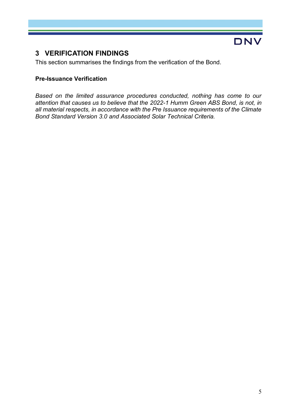### **3 VERIFICATION FINDINGS**

This section summarises the findings from the verification of the Bond.

#### **Pre-Issuance Verification**

*Based on the limited assurance procedures conducted, nothing has come to our attention that causes us to believe that the 2022-1 Humm Green ABS Bond, is not, in all material respects, in accordance with the Pre Issuance requirements of the Climate Bond Standard Version 3.0 and Associated Solar Technical Criteria.*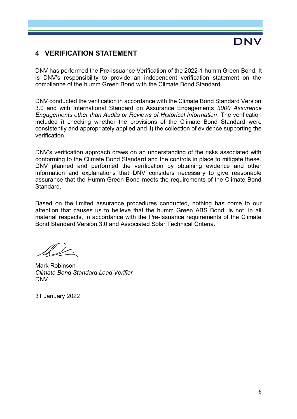#### **4 VERIFICATION STATEMENT**

DNV has performed the Pre-Issuance Verification of the 2022-1 humm Green Bond. It is DNV's responsibility to provide an independent verification statement on the compliance of the humm Green Bond with the Climate Bond Standard.

DNV conducted the verification in accordance with the Climate Bond Standard Version 3.0 and with International Standard on Assurance Engagements *3000 Assurance Engagements other than Audits or Reviews of Historical Information*. The verification included i) checking whether the provisions of the Climate Bond Standard were consistently and appropriately applied and ii) the collection of evidence supporting the verification.

DNV's verification approach draws on an understanding of the risks associated with conforming to the Climate Bond Standard and the controls in place to mitigate these. DNV planned and performed the verification by obtaining evidence and other information and explanations that DNV considers necessary to give reasonable assurance that the Humm Green Bond meets the requirements of the Climate Bond Standard.

Based on the limited assurance procedures conducted, nothing has come to our attention that causes us to believe that the humm Green ABS Bond, is not, in all material respects, in accordance with the Pre-Issuance requirements of the Climate Bond Standard Version 3.0 and Associated Solar Technical Criteria.

Mark Robinson *Climate Bond Standard Lead Verifier*  DNV

31 January 2022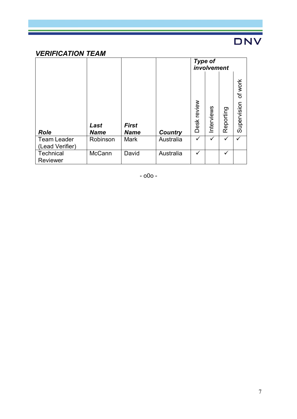## *VERIFICATION TEAM*

|                                       |                     |                             |                | <b>Type of</b><br>involvement |            |           |                        |
|---------------------------------------|---------------------|-----------------------------|----------------|-------------------------------|------------|-----------|------------------------|
| <b>Role</b>                           | Last<br><b>Name</b> | <b>First</b><br><b>Name</b> | <b>Country</b> | review<br><b>Desk</b>         | Interviews | Reporting | of work<br>Supervision |
| <b>Team Leader</b><br>(Lead Verifier) | Robinson            | <b>Mark</b>                 | Australia      | ✓                             | ✓          | ✓         |                        |
| Technical<br>Reviewer                 | <b>McCann</b>       | David                       | Australia      | ✓                             |            | ✓         |                        |

- o0o -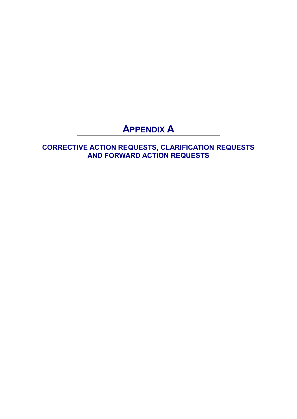## **APPENDIX A**

**CORRECTIVE ACTION REQUESTS, CLARIFICATION REQUESTS AND FORWARD ACTION REQUESTS**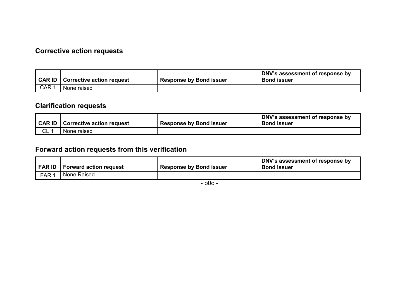## **Corrective action requests**

| <b>CAR ID</b> | Corrective action request | <b>Response by Bond issuer</b> | DNV's assessment of response by<br><b>Bond issuer</b> |
|---------------|---------------------------|--------------------------------|-------------------------------------------------------|
| CAR 1         | None raised               |                                |                                                       |

## **Clarification requests**

| CAR ID | <b>Corrective action request</b> | <b>Response by Bond issuer</b> | $\mid$ DNV's assessment of response by<br><b>Bond issuer</b> |
|--------|----------------------------------|--------------------------------|--------------------------------------------------------------|
| CL     | None raised                      |                                |                                                              |

## **Forward action requests from this verification**

| FAR ID           | <b>Forward action request</b> | <b>Response by Bond issuer</b> | DNV's assessment of response by<br><b>Bond issuer</b> |
|------------------|-------------------------------|--------------------------------|-------------------------------------------------------|
| FAR <sup>1</sup> | None Raised                   |                                |                                                       |

- o0o -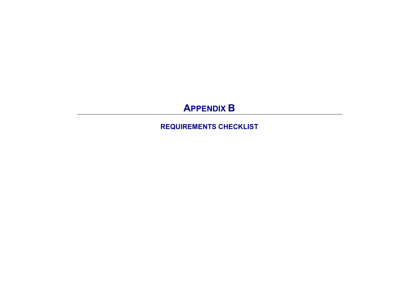# **APPENDIX B**

**REQUIREMENTS CHECKLIST**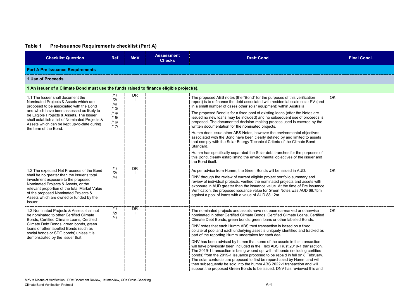## **Table 1 Pre-Issuance Requirements checklist (Part A)**

| <b>Checklist Question</b>                                                                                                                                                                                                                                                                                             | <b>Ref</b>                                                                              | <b>MoV</b> | <b>Assessment</b><br><b>Checks</b> | <b>Draft Concl.</b>                                                                                                                                                                                                                                                                                                                                                                                                                                                                                                                                            | <b>Final Concl.</b> |  |  |  |  |
|-----------------------------------------------------------------------------------------------------------------------------------------------------------------------------------------------------------------------------------------------------------------------------------------------------------------------|-----------------------------------------------------------------------------------------|------------|------------------------------------|----------------------------------------------------------------------------------------------------------------------------------------------------------------------------------------------------------------------------------------------------------------------------------------------------------------------------------------------------------------------------------------------------------------------------------------------------------------------------------------------------------------------------------------------------------------|---------------------|--|--|--|--|
| <b>Part A Pre Issuance Requirements</b>                                                                                                                                                                                                                                                                               |                                                                                         |            |                                    |                                                                                                                                                                                                                                                                                                                                                                                                                                                                                                                                                                |                     |  |  |  |  |
| <b>1 Use of Proceeds</b>                                                                                                                                                                                                                                                                                              |                                                                                         |            |                                    |                                                                                                                                                                                                                                                                                                                                                                                                                                                                                                                                                                |                     |  |  |  |  |
|                                                                                                                                                                                                                                                                                                                       | 1 An issuer of a Climate Bond must use the funds raised to finance eligible project(s). |            |                                    |                                                                                                                                                                                                                                                                                                                                                                                                                                                                                                                                                                |                     |  |  |  |  |
| 1.1 The Issuer shall document the<br>Nominated Projects & Assets which are<br>proposed to be associated with the Bond                                                                                                                                                                                                 | /1/<br>/2/<br>/4/<br>/13/                                                               | <b>DR</b>  |                                    | The proposed ABS notes (the "Bond" for the purposes of this verification<br>report) is to refinance the debt associated with residential scale solar PV (and<br>in a small number of cases other solar equipment) within Australia.                                                                                                                                                                                                                                                                                                                            | OK.                 |  |  |  |  |
| and which have been assessed as likely to<br>be Eligible Projects & Assets. The Issuer<br>shall establish a list of Nominated Projects &<br>Assets which can be kept up-to-date during<br>the term of the Bond.                                                                                                       | /14/<br>/15/<br>/16/<br>1171                                                            |            |                                    | The proposed Bond is for a fixed pool of existing loans (after the Notes are<br>issued no new loans may be included) and no subsequent use of proceeds is<br>proposed. The documented decision-making process used is covered by the<br>written documentation for the nominated projects.                                                                                                                                                                                                                                                                      |                     |  |  |  |  |
|                                                                                                                                                                                                                                                                                                                       |                                                                                         |            |                                    | Humm does issue other ABS Notes, however the environmental objectives<br>associated with the Bond have been clearly defined by and limited to assets<br>that comply with the Solar Energy Technical Criteria of the Climate Bond<br>Standard.                                                                                                                                                                                                                                                                                                                  |                     |  |  |  |  |
|                                                                                                                                                                                                                                                                                                                       |                                                                                         |            |                                    | Humm has specifically separated the Solar debt tranches for the purposes of<br>this Bond, clearly establishing the environmental objectives of the issuer and<br>the Bond itself.                                                                                                                                                                                                                                                                                                                                                                              |                     |  |  |  |  |
| 1.2 The expected Net Proceeds of the Bond<br>shall be no greater than the Issuer's total<br>investment exposure to the proposed<br>Nominated Projects & Assets, or the<br>relevant proportion of the total Market Value<br>of the proposed Nominated Projects &<br>Assets which are owned or funded by the<br>Issuer. | 111<br>/2/<br>/4/                                                                       | <b>DR</b>  |                                    | As per advice from Humm, the Green Bonds will be issued in AUD.<br>DNV through the review of current eligible project portfolio summary and<br>review of individual projects, verified the nominated projects and assets with<br>exposure in AUD greater than the issuance value. At the time of Pre Issuance<br>Verification, the proposed issuance value for Green Notes was AUD 68.75m<br>against a pool of loans with a value of AUD 88.12m.                                                                                                               | <b>OK</b>           |  |  |  |  |
| 1.3 Nominated Projects & Assets shall not<br>be nominated to other Certified Climate<br>Bonds, Certified Climate Loans, Certified                                                                                                                                                                                     | 111<br>/2/<br> 4                                                                        | <b>DR</b>  |                                    | The nominated projects and assets have not been earmarked or otherwise<br>nominated in other Certified Climate Bonds, Certified Climate Loans, Certified<br>Climate Debt Bonds, green bonds, green loans or other labelled Bonds.                                                                                                                                                                                                                                                                                                                              | OK                  |  |  |  |  |
| Climate Debt Bonds, green bonds, green<br>loans or other labelled Bonds (such as<br>social bonds or SDG bonds) unless it is<br>demonstrated by the Issuer that:                                                                                                                                                       |                                                                                         |            |                                    | DNV notes that each Humm ABS trust transaction is based on a fixed<br>collateral pool and each underlying asset is uniquely identified and tracked as<br>part of the reporting Humm undertakes for each deal.                                                                                                                                                                                                                                                                                                                                                  |                     |  |  |  |  |
|                                                                                                                                                                                                                                                                                                                       |                                                                                         |            |                                    | DNV has been advised by humm that some of the assets in this transaction<br>will have previously been included in the Flexi ABS Trust 2019-1 transaction.<br>The 2019-1 transaction is being wound up, with all bonds (including certified<br>bonds) from the 2019-1 issuance proposed to be repaid in full on 8 February.<br>The solar contracts are proposed to first be repurchased by Humm and will<br>then subsequently be sold into the humm ABS 2022-1 transaction and will<br>support the proposed Green Bonds to be issued. DNV has reviewed this and |                     |  |  |  |  |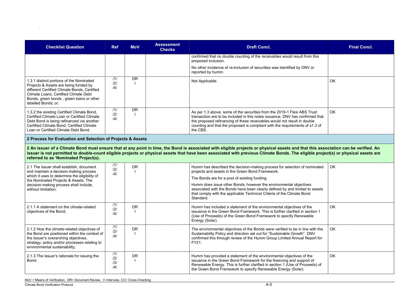|            | <b>Final Concl.</b> |
|------------|---------------------|
| is         |                     |
|            | OK<br>ĺ             |
| that<br>of | OK                  |

| <b>Checklist Question</b>                                                                                                                                                                                                                            | <b>Ref</b>               | <b>MoV</b> | <b>Assessment</b><br><b>Checks</b> | <b>Draft Concl.</b>                                                                                                                                                                                                                                                                                                                                                       | <b>Final Concl.</b> |
|------------------------------------------------------------------------------------------------------------------------------------------------------------------------------------------------------------------------------------------------------|--------------------------|------------|------------------------------------|---------------------------------------------------------------------------------------------------------------------------------------------------------------------------------------------------------------------------------------------------------------------------------------------------------------------------------------------------------------------------|---------------------|
|                                                                                                                                                                                                                                                      |                          |            |                                    | confirmed that no double counting of the receivables would result from this<br>proposed inclusion.                                                                                                                                                                                                                                                                        |                     |
|                                                                                                                                                                                                                                                      |                          |            |                                    | No other incidence of re-inclusion of securities was identified by DNV or<br>reported by humm.                                                                                                                                                                                                                                                                            |                     |
| 1.3.1 distinct portions of the Nominated<br>Projects & Assets are being funded by<br>different Certified Climate Bonds, Certified<br><b>Climate Loans, Certified Climate Debt</b><br>Bonds, green bonds, green loans or other<br>labelled Bonds; or, | 111<br>121<br>/4/        | <b>DR</b>  |                                    | Not Applicable.                                                                                                                                                                                                                                                                                                                                                           | <b>OK</b>           |
| 1.3.2 the existing Certified Climate Bond,<br>Certified Climate Loan or Certified Climate<br>Debt Bond is being refinanced via another<br>Certified Climate Bond, Certified Climate<br>Loan or Certified Climate Debt Bond.                          | 111<br>/2/<br>/4/        | <b>DR</b>  |                                    | As per 1.3 above, some of the securities from the 2019-1 Flexi ABS Trust<br>transaction are to be included in this notes issuance. DNV has confirmed that<br>the proposed refinancing of these receivables would not result in double<br>counting and that the proposed is compliant with the requirements of s1.3 of<br>the CBS.                                         | <b>OK</b>           |
| 2 Process for Evaluation and Selection of Projects & Assets                                                                                                                                                                                          |                          |            |                                    |                                                                                                                                                                                                                                                                                                                                                                           |                     |
| referred to as 'Nominated Project(s).                                                                                                                                                                                                                |                          |            |                                    | 2 An issuer of a Climate Bond must ensure that at any point in time, the Bond is associated with eligible projects or physical assets and that this association can be verified. An<br>issuer is not permitted to double-count eligible projects or physical assets that have been associated with previous Climate Bonds. The eligible project(s) or physical assets are |                     |
| 2.1 The Issuer shall establish, document<br>and maintain a decision-making process                                                                                                                                                                   | /1/<br>/2/<br>/4/        | <b>DR</b>  |                                    | Humm has described the decision-making process for selection of nominated<br>projects and assets in the Green Bond Framework.                                                                                                                                                                                                                                             | OK                  |
| which it uses to determine the eligibility of<br>the Nominated Projects & Assets. The                                                                                                                                                                |                          |            |                                    | The Bonds are for a pool of existing funding.                                                                                                                                                                                                                                                                                                                             |                     |
| decision-making process shall include,<br>without limitation:                                                                                                                                                                                        |                          |            |                                    | Humm does issue other Bonds, however the environmental objectives<br>associated with the Bonds have been clearly defined by and limited to assets<br>that comply with the applicable Technical Criteria of the Climate Bond<br>Standard.                                                                                                                                  |                     |
| 2.1.1 A statement on the climate-related<br>objectives of the Bond;                                                                                                                                                                                  | 111<br>121<br>/4/        | <b>DR</b>  |                                    | Humm has included a statement of the environmental objectives of the<br>issuance in the Green Bond Framework. This is further clarified in section 1<br>(Use of Proceeds) of the Green Bond Framework to specify Renewable<br>Energy (Solar).                                                                                                                             | <b>OK</b>           |
| 2.1.2 How the climate-related objectives of<br>the Bond are positioned within the context of<br>the Issuer's overarching objectives,<br>strategy, policy and/or processes relating to<br>environmental sustainability;                               | /1/<br>/2/<br>/4/        | <b>DR</b>  |                                    | The environmental objectives of the Bonds were verified to be in line with the<br>Sustainability Policy and direction set out for "Sustainable Growth". DNV<br>confirmed this through review of the Humm Group Limited Annual Report for<br>FY21.                                                                                                                         | <b>OK</b>           |
| 2.1.3 The Issuer's rationale for issuing the<br>Bond;                                                                                                                                                                                                | 111<br>/2/<br>/3/<br>/4/ | <b>DR</b>  |                                    | Humm has provided a statement of the environmental objectives of the<br>issuance in the Green Bond Framework for the financing and support of<br>Renewable Energy. This is further clarified in section 1 (Use of Proceeds) of<br>the Green Bond Framework to specify Renewable Energy (Solar).                                                                           | OK                  |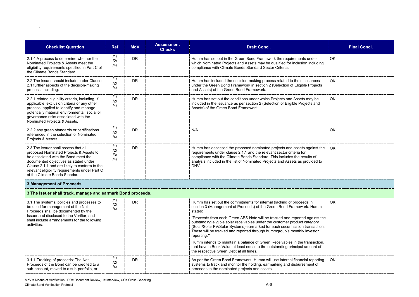| <b>Checklist Question</b>                                                                                                                                                                                                                                                                             | <b>Ref</b>                   | <b>MoV</b> | <b>Assessment</b><br><b>Checks</b> | <b>Draft Concl.</b>                                                                                                                                                                                                                                                                                                                                                                                                                                                                                                                                                            | <b>Final Concl.</b> |
|-------------------------------------------------------------------------------------------------------------------------------------------------------------------------------------------------------------------------------------------------------------------------------------------------------|------------------------------|------------|------------------------------------|--------------------------------------------------------------------------------------------------------------------------------------------------------------------------------------------------------------------------------------------------------------------------------------------------------------------------------------------------------------------------------------------------------------------------------------------------------------------------------------------------------------------------------------------------------------------------------|---------------------|
| 2.1.4 A process to determine whether the<br>Nominated Projects & Assets meet the<br>eligibility requirements specified in Part C of<br>the Climate Bonds Standard.                                                                                                                                    | 111<br>/2/<br>$\frac{14}{3}$ | <b>DR</b>  |                                    | Humm has set out in the Green Bond Framework the requirements under<br>which Nominated Projects and Assets may be qualified for inclusion including<br>compliance with Climate Bonds Standard Sector Criteria.                                                                                                                                                                                                                                                                                                                                                                 | <b>OK</b>           |
| 2.2 The Issuer should include under Clause<br>2.1 further aspects of the decision-making<br>process, including:                                                                                                                                                                                       | 111<br>121<br>$\frac{14}{3}$ | <b>DR</b>  |                                    | Humm has included the decision-making process related to their issuances<br>under the Green Bond Framework in section 2 (Selection of Eligible Projects<br>and Assets) of the Green Bond Framework.                                                                                                                                                                                                                                                                                                                                                                            | <b>OK</b>           |
| 2.2.1 related eligibility criteria, including, if<br>applicable, exclusion criteria or any other<br>process, applied to identify and manage<br>potentially material environmental, social or<br>governance risks associated with the<br>Nominated Projects & Assets.                                  | 111<br>/2/<br>/4/            | <b>DR</b>  |                                    | Humm has set out the conditions under which Projects and Assets may be<br>included in the issuance as per section 2 (Selection of Eligible Projects and<br>Assets) of the Green Bond Framework.                                                                                                                                                                                                                                                                                                                                                                                | <b>OK</b>           |
| 2.2.2 any green standards or certifications<br>referenced in the selection of Nominated<br>Projects & Assets.                                                                                                                                                                                         | 111<br>121<br>/4/            | <b>DR</b>  |                                    | N/A                                                                                                                                                                                                                                                                                                                                                                                                                                                                                                                                                                            | OK                  |
| 2.3 The Issuer shall assess that all<br>proposed Nominated Projects & Assets to<br>be associated with the Bond meet the<br>documented objectives as stated under<br>Clause 2.1.1 and are likely to conform to the<br>relevant eligibility requirements under Part C<br>of the Climate Bonds Standard. | 111<br>/2/<br>/3/<br>/4/     | <b>DR</b>  |                                    | Humm has assessed the proposed nominated projects and assets against the<br>requirements under clause 2.1.1 and the relevant sector criteria for<br>compliance with the Climate Bonds Standard. This includes the results of<br>analysis included in the list of Nominated Projects and Assets as provided to<br>DNV.                                                                                                                                                                                                                                                          | <b>OK</b>           |
| <b>3 Management of Proceeds</b>                                                                                                                                                                                                                                                                       |                              |            |                                    |                                                                                                                                                                                                                                                                                                                                                                                                                                                                                                                                                                                |                     |
| 3 The Issuer shall track, manage and earmark Bond proceeds.                                                                                                                                                                                                                                           |                              |            |                                    |                                                                                                                                                                                                                                                                                                                                                                                                                                                                                                                                                                                |                     |
| 3.1 The systems, policies and processes to<br>be used for management of the Net<br>Proceeds shall be documented by the<br>Issuer and disclosed to the Verifier, and<br>shall include arrangements for the following<br>activities:                                                                    | 111<br>/2/<br>/4/            | <b>DR</b>  |                                    | Humm has set out the commitments for internal tracking of proceeds in<br>section 3 (Management of Proceeds) of the Green Bond Framework. Humm<br>states:<br>"Proceeds from each Green ABS Note will be tracked and reported against the<br>outstanding eligible solar receivables under the customer product category<br>(Solar/Solar PV/Solar Systems) earmarked for each securitisation transaction.<br>These will be tracked and reported through hummgroup's monthly investor<br>reporting."<br>Humm intends to maintain a balance of Green Receivables in the transaction | <b>OK</b>           |

|                             | <b>Final Concl.</b> |
|-----------------------------|---------------------|
| ding                        | OK                  |
| 9S<br>cts                   | OK                  |
| e<br>ıd                     | OK                  |
|                             | OK                  |
| t the $\vert$ OK<br>l to    |                     |
|                             |                     |
|                             |                     |
| nm                          | OK                  |
| st the<br>y<br>:tion.<br>ır |                     |
| tion,<br><b>of</b>          |                     |
| rting<br><sub>'</sub> f     | OK                  |

|                                           |     |    | Humm intends to maintain a balance of Green Receivables in the transaction,<br>that have a Book Value at least equal to the outstanding principal amount of<br>the respective Green Debt at all times. |
|-------------------------------------------|-----|----|--------------------------------------------------------------------------------------------------------------------------------------------------------------------------------------------------------|
| 3.1.1 Tracking of proceeds: The Net       | 11/ | DR | As per the Green Bond Framework, Humm will use internal financial reporting                                                                                                                            |
| Proceeds of the Bond can be credited to a | /2/ |    | systems to track and monitor the holding, earmarking and disbursement of                                                                                                                               |
| sub-account, moved to a sub-portfolio, or | 4   |    | proceeds to the nominated projects and assets.                                                                                                                                                         |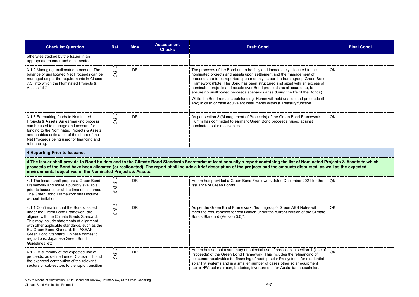| <b>Checklist Question</b>                                                                                                                                                                                                                                                                                                                                     | <b>Ref</b>                   | <b>MoV</b> | <b>Assessment</b><br><b>Checks</b> | <b>Draft Concl.</b>                                                                                                                                                                                                                                                                                                                                                                                                                                                                                                                                                                                                           | <b>Final Concl.</b> |
|---------------------------------------------------------------------------------------------------------------------------------------------------------------------------------------------------------------------------------------------------------------------------------------------------------------------------------------------------------------|------------------------------|------------|------------------------------------|-------------------------------------------------------------------------------------------------------------------------------------------------------------------------------------------------------------------------------------------------------------------------------------------------------------------------------------------------------------------------------------------------------------------------------------------------------------------------------------------------------------------------------------------------------------------------------------------------------------------------------|---------------------|
| otherwise tracked by the Issuer in an<br>appropriate manner and documented.                                                                                                                                                                                                                                                                                   |                              |            |                                    |                                                                                                                                                                                                                                                                                                                                                                                                                                                                                                                                                                                                                               |                     |
| 3.1.2 Managing unallocated proceeds: The<br>balance of unallocated Net Proceeds can be<br>managed as per the requirements in Clause<br>7.3. into which the Nominated Projects &<br>Assets fall?                                                                                                                                                               | 111<br>/2/<br>$\frac{14}{3}$ | <b>DR</b>  |                                    | The proceeds of the Bond are to be fully and immediately allocated to the<br>nominated projects and assets upon settlement and the management of<br>proceeds are to be reported upon monthly as per the hummgroup Green Bond<br>Framework (Note: The Bond has been structured and sized with an excess of<br>nominated projects and assets over Bond proceeds as at issue date, to<br>ensure no unallocated proceeds scenarios arise during the life of the Bonds).<br>While the Bond remains outstanding, Humm will hold unallocated proceeds (if<br>any) in cash or cash equivalent instruments within a Treasury function. | <b>OK</b>           |
| 3.1.3 Earmarking funds to Nominated<br>Projects & Assets: An earmarking process<br>can be used to manage and account for<br>funding to the Nominated Projects & Assets<br>and enables estimation of the share of the<br>Net Proceeds being used for financing and<br>refinancing.                                                                             | 111<br>121<br>/4/            | <b>DR</b>  |                                    | As per section 3 (Management of Proceeds) of the Green Bond Framework,<br>Humm has committed to earmark Green Bond proceeds raised against<br>nominated solar receivables.                                                                                                                                                                                                                                                                                                                                                                                                                                                    | <b>OK</b>           |
| <b>4 Reporting Prior to Issuance</b>                                                                                                                                                                                                                                                                                                                          |                              |            |                                    |                                                                                                                                                                                                                                                                                                                                                                                                                                                                                                                                                                                                                               |                     |
| environmental objectives of the Nominated Projects & Assets.                                                                                                                                                                                                                                                                                                  |                              |            |                                    | 4 The Issuer shall provide to Bond holders and to the Climate Bond Standards Secretariat at least annually a report containing the list of Nominated Projects & Assets to which<br>proceeds of the Bond have been allocated (or reallocated). The report shall include a brief description of the projects and the amounts disbursed, as well as the expected                                                                                                                                                                                                                                                                 |                     |
| 4.1 The Issuer shall prepare a Green Bond<br>Framework and make it publicly available<br>prior to Issuance or at the time of Issuance.<br>The Green Bond Framework shall include,<br>without limitation:                                                                                                                                                      | /1/<br>/2/<br>/3/<br> 4      | <b>DR</b>  |                                    | Humm has provided a Green Bond Framework dated December 2021 for the<br>issuance of Green Bonds.                                                                                                                                                                                                                                                                                                                                                                                                                                                                                                                              | <b>OK</b>           |
| 4.1.1 Confirmation that the Bonds issued<br>under the Green Bond Framework are<br>aligned with the Climate Bonds Standard.<br>This may include statements of alignment<br>with other applicable standards, such as the<br>EU Green Bond Standard, the ASEAN<br>Green Bond Standard, Chinese domestic<br>regulations, Japanese Green Bond<br>Guidelines, etc.; | /1/<br>121<br>$\frac{14}{3}$ | <b>DR</b>  |                                    | As per the Green Bond Framework, "hummgroup's Green ABS Notes will<br>meet the requirements for certification under the current version of the Climate<br>Bonds Standard (Version 3.0)".                                                                                                                                                                                                                                                                                                                                                                                                                                      | OK                  |
| 4.1.2. A summary of the expected use of<br>proceeds, as defined under Clause 1.1, and<br>the expected contribution of the relevant                                                                                                                                                                                                                            | 111<br>121<br>/4/            | <b>DR</b>  |                                    | Humm has set out a summary of potential use of proceeds in section 1 (Use of<br>Proceeds) of the Green Bond Framework. This includes the refinancing of<br>consumer receivables for financing of rooftop solar PV systems for residential                                                                                                                                                                                                                                                                                                                                                                                     | <b>OK</b>           |

|                                 | <b>Final Concl.</b>                                          |
|---------------------------------|--------------------------------------------------------------|
|                                 |                                                              |
| Bond<br>ss of<br>ds).<br>ds (if | OK                                                           |
| rk,                             | OK                                                           |
|                                 |                                                              |
|                                 | ted Projects & Assets to which<br>l, as well as the expected |
| the                             | OK                                                           |
| mate                            | OK                                                           |
| lse of<br>f                     | OK                                                           |

the expected contribution of the relevant sectors or sub-sectors to the rapid transition

solar PV systems and in a smaller number of cases other solar equipment (solar HW, solar air-con, batteries, inverters etc) for Australian households.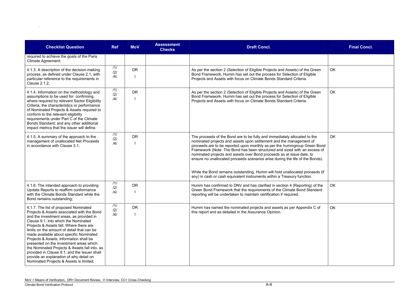| <b>Checklist Question</b>                                                                                                                                                                                                                                                                                                                                                                                                                                                                                                                                                                | <b>Ref</b>        | <b>MoV</b> | <b>Assessment</b><br><b>Checks</b> | <b>Draft Concl.</b>                                                                                                                                                                                                                                                                                                                                                                                                                                                                                                                                                                                                           | <b>Final Concl.</b> |
|------------------------------------------------------------------------------------------------------------------------------------------------------------------------------------------------------------------------------------------------------------------------------------------------------------------------------------------------------------------------------------------------------------------------------------------------------------------------------------------------------------------------------------------------------------------------------------------|-------------------|------------|------------------------------------|-------------------------------------------------------------------------------------------------------------------------------------------------------------------------------------------------------------------------------------------------------------------------------------------------------------------------------------------------------------------------------------------------------------------------------------------------------------------------------------------------------------------------------------------------------------------------------------------------------------------------------|---------------------|
| required to achieve the goals of the Paris<br>Climate Agreement;                                                                                                                                                                                                                                                                                                                                                                                                                                                                                                                         |                   |            |                                    |                                                                                                                                                                                                                                                                                                                                                                                                                                                                                                                                                                                                                               |                     |
| 4.1.3. A description of the decision-making<br>process, as defined under Clause 2.1, with<br>particular reference to the requirements in<br>Clause 2.1.2;                                                                                                                                                                                                                                                                                                                                                                                                                                | 111<br>121<br>/4/ | <b>DR</b>  |                                    | As per the section 2 (Selection of Eligible Projects and Assets) of the Green<br>Bond Framework, Humm has set out the process for Selection of Eligible<br>Projects and Assets with focus on Climate Bonds Standard Criteria.                                                                                                                                                                                                                                                                                                                                                                                                 | <b>OK</b>           |
| 4.1.4. Information on the methodology and<br>assumptions to be used for: confirming,<br>where required by relevant Sector Eligibility<br>Criteria, the characteristics or performance<br>of Nominated Projects & Assets required to<br>conform to the relevant eligibility<br>requirements under Part C of the Climate<br>Bonds Standard; and any other additional<br>impact metrics that the issuer will define.                                                                                                                                                                        | 111<br>121<br>/4/ | <b>DR</b>  |                                    | As per the section 2 (Selection of Eligible Projects and Assets) of the Green<br>Bond Framework, Humm has set out the process for Selection of Eligible<br>Projects and Assets with focus on Climate Bonds Standard Criteria.                                                                                                                                                                                                                                                                                                                                                                                                 | <b>OK</b>           |
| 4.1.5. A summary of the approach to the<br>management of unallocated Net Proceeds<br>in accordance with Clause 3.1;                                                                                                                                                                                                                                                                                                                                                                                                                                                                      | 111<br>/2/<br>/4/ | <b>DR</b>  |                                    | The proceeds of the Bond are to be fully and immediately allocated to the<br>nominated projects and assets upon settlement and the management of<br>proceeds are to be reported upon monthly as per the hummgroup Green Bond<br>Framework (Note: The Bond has been structured and sized with an excess of<br>nominated projects and assets over Bond proceeds as at issue date, to<br>ensure no unallocated proceeds scenarios arise during the life of the Bonds).<br>While the Bond remains outstanding, Humm will hold unallocated proceeds (if<br>any) in cash or cash equivalent instruments within a Treasury function. | OK                  |
| 4.1.6. The intended approach to providing<br>Update Reports to reaffirm conformance<br>with the Climate Bonds Standard while the<br>Bond remains outstanding;                                                                                                                                                                                                                                                                                                                                                                                                                            | 111<br> 2 <br>/4/ | <b>DR</b>  |                                    | Humm has confirmed to DNV and has clarified in section 4 (Reporting) of the<br>Green Bond Framework that the requirements of the Climate Bond Standard<br>reporting will be undertaken to maintain certification if required.                                                                                                                                                                                                                                                                                                                                                                                                 | OK                  |
| 4.1.7. The list of proposed Nominated<br>Projects & Assets associated with the Bond<br>and the investment areas, as provided in<br>Clause 9.1, into which the Nominated<br>Projects & Assets fall. Where there are<br>limits on the amount of detail that can be<br>made available about specific Nominated<br>Projects & Assets, information shall be<br>presented on the investment areas which<br>the Nominated Projects & Assets fall into, as<br>provided in Clause 9.1, and the Issuer shall<br>provide an explanation of why detail on<br>Nominated Projects & Assets is limited; | 111<br>121<br>/4/ | <b>DR</b>  |                                    | Humm has named the nominated projects and assets as per Appendix C of<br>this report and as detailed in the Assurance Opinion.                                                                                                                                                                                                                                                                                                                                                                                                                                                                                                | <b>OK</b>           |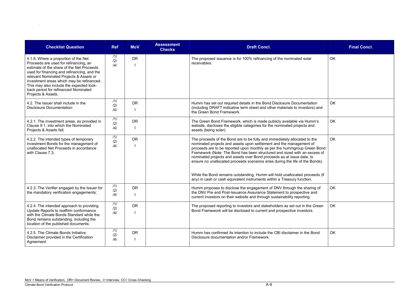| <b>Checklist Question</b>                                                                                                                                                                                                                                                                                                                                                   | <b>Ref</b>        | <b>MoV</b> | <b>Assessment</b><br><b>Checks</b> | <b>Draft Concl.</b>                                                                                                                                                                                                                                                                                                                                                                                                                                                                                                                                | <b>Final Concl.</b> |
|-----------------------------------------------------------------------------------------------------------------------------------------------------------------------------------------------------------------------------------------------------------------------------------------------------------------------------------------------------------------------------|-------------------|------------|------------------------------------|----------------------------------------------------------------------------------------------------------------------------------------------------------------------------------------------------------------------------------------------------------------------------------------------------------------------------------------------------------------------------------------------------------------------------------------------------------------------------------------------------------------------------------------------------|---------------------|
| 4.1.8. Where a proportion of the Net<br>Proceeds are used for refinancing, an<br>estimate of the share of the Net Proceeds<br>used for financing and refinancing, and the<br>relevant Nominated Projects & Assets or<br>investment areas which may be refinanced.<br>This may also include the expected look-<br>back period for refinanced Nominated<br>Projects & Assets. | 111<br>121<br>/4/ | <b>DR</b>  |                                    | The proposed issuance is for 100% refinancing of the nominated solar<br>receivables.                                                                                                                                                                                                                                                                                                                                                                                                                                                               | OK                  |
| 4.2. The Issuer shall include in the<br><b>Disclosure Documentation:</b>                                                                                                                                                                                                                                                                                                    | 111<br>121<br> 4  | <b>DR</b>  |                                    | Humm has set out required details in the Bond Disclosure Documentation<br>(including DRAFT indicative term sheet and other materials to investors) and<br>the Green Bond Framework.                                                                                                                                                                                                                                                                                                                                                                | OK                  |
| 4.2.1. The investment areas, as provided in<br>Clause 9.1, into which the Nominated<br>Projects & Assets fall;                                                                                                                                                                                                                                                              | 111<br>121<br> 4  | <b>DR</b>  |                                    | The Green Bond Framework, which is made publicly available via Humm's<br>website, discloses the eligible categories for the nominated projects and<br>assets (being solar).                                                                                                                                                                                                                                                                                                                                                                        | OK                  |
| 4.2.2. The intended types of temporary<br>investment Bonds for the management of<br>unallocated Net Proceeds in accordance<br>with Clause 7.3;                                                                                                                                                                                                                              | 111<br>121<br>/4/ | <b>DR</b>  |                                    | The proceeds of the Bond are to be fully and immediately allocated to the<br>nominated projects and assets upon settlement and the management of<br>proceeds are to be reported upon monthly as per the hummgroup Green Bond<br>Framework (Note: The Bond has been structured and sized with an excess of<br>nominated projects and assets over Bond proceeds as at issue date, to<br>ensure no unallocated proceeds scenarios arise during the life of the Bonds).<br>While the Bond remains outstanding, Humm will hold unallocated proceeds (if | OK                  |
|                                                                                                                                                                                                                                                                                                                                                                             |                   |            |                                    | any) in cash or cash equivalent instruments within a Treasury function.                                                                                                                                                                                                                                                                                                                                                                                                                                                                            |                     |
| 4.2.3. The Verifier engaged by the Issuer for<br>the mandatory verification engagements;                                                                                                                                                                                                                                                                                    | 111<br>121<br>/4/ | <b>DR</b>  |                                    | Humm proposes to disclose the engagement of DNV through the sharing of<br>the DNV Pre and Post-Issuance Assurance Statement to prospective and<br>current investors on their website and through sustainability reporting.                                                                                                                                                                                                                                                                                                                         | OK                  |
| 4.2.4. The intended approach to providing<br>Update Reports to reaffirm conformance<br>with the Climate Bonds Standard while the<br>Bond remains outstanding, including the<br>location of the published documents;                                                                                                                                                         | 111<br>121<br> 4  | <b>DR</b>  |                                    | The proposed reporting to investors and stakeholders as set out in the Green<br>Bond Framework will be disclosed to current and prospective investors.                                                                                                                                                                                                                                                                                                                                                                                             | OK                  |
| 4.2.5. The Climate Bonds Initiative<br>Disclaimer provided in the Certification<br>Agreement.                                                                                                                                                                                                                                                                               | 111<br>121<br> 4  | <b>DR</b>  |                                    | Humm has confirmed its intention to include the CBI disclaimer in the Bond<br>Disclosure documentation and/or Framework.                                                                                                                                                                                                                                                                                                                                                                                                                           | OK                  |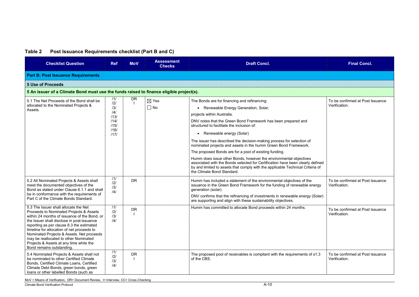## **Table 2 Post Issuance Requirements checklist (Part B and C)**

| <b>Checklist Question</b>                                                                                                                                                                                                                                                                                                                                                                                                               | <b>Ref</b>                                                       | <b>MoV</b> | <b>Assessment</b><br><b>Checks</b> | <b>Draft Concl.</b>                                                                                                                                                                                                                                                                                                                                                                                                                                                                                                                                                                                                                                                                                                                                                 | <b>Final Concl.</b>                               |  |  |  |  |  |
|-----------------------------------------------------------------------------------------------------------------------------------------------------------------------------------------------------------------------------------------------------------------------------------------------------------------------------------------------------------------------------------------------------------------------------------------|------------------------------------------------------------------|------------|------------------------------------|---------------------------------------------------------------------------------------------------------------------------------------------------------------------------------------------------------------------------------------------------------------------------------------------------------------------------------------------------------------------------------------------------------------------------------------------------------------------------------------------------------------------------------------------------------------------------------------------------------------------------------------------------------------------------------------------------------------------------------------------------------------------|---------------------------------------------------|--|--|--|--|--|
| <b>Part B: Post Issuance Requirements</b>                                                                                                                                                                                                                                                                                                                                                                                               |                                                                  |            |                                    |                                                                                                                                                                                                                                                                                                                                                                                                                                                                                                                                                                                                                                                                                                                                                                     |                                                   |  |  |  |  |  |
| <b>5 Use of Proceeds</b>                                                                                                                                                                                                                                                                                                                                                                                                                |                                                                  |            |                                    |                                                                                                                                                                                                                                                                                                                                                                                                                                                                                                                                                                                                                                                                                                                                                                     |                                                   |  |  |  |  |  |
| 5 An issuer of a Climate Bond must use the funds raised to finance eligible project(s).                                                                                                                                                                                                                                                                                                                                                 |                                                                  |            |                                    |                                                                                                                                                                                                                                                                                                                                                                                                                                                                                                                                                                                                                                                                                                                                                                     |                                                   |  |  |  |  |  |
| 5.1 The Net Proceeds of the Bond shall be<br>allocated to the Nominated Projects &<br>Assets.                                                                                                                                                                                                                                                                                                                                           | 111<br> 2 <br>/3/<br> 4 <br>/13/<br>/14/<br>/15/<br>/16/<br>1171 | <b>DR</b>  | $\boxtimes$ Yes<br>$\Box$ No       | The Bonds are for financing and refinancing:<br>Renewable Energy Generation, Solar;<br>$\bullet$<br>projects within Australia.<br>DNV notes that the Green Bond Framework has been prepared and<br>structured to facilitate the inclusion of:<br>Renewable energy (Solar)<br>$\bullet$<br>The issuer has described the decision-making process for selection of<br>nominated projects and assets in the humm Green Bond Framework.<br>The proposed Bonds are for a pool of existing funding.<br>Humm does issue other Bonds, however the environmental objectives<br>associated with the Bonds selected for Certification have been clearly defined<br>by and limited to assets that comply with the applicable Technical Criteria of<br>the Climate Bond Standard. | To be confirmed at Post Issuance<br>Verification. |  |  |  |  |  |
| 5.2 All Nominated Projects & Assets shall<br>meet the documented objectives of the<br>Bond as stated under Clause 6.1.1 and shall<br>be in conformance with the requirements of<br>Part C of the Climate Bonds Standard.                                                                                                                                                                                                                | 111<br>121<br>/3/<br> 4                                          | <b>DR</b>  |                                    | Humm has included a statement of the environmental objectives of the<br>issuance in the Green Bond Framework for the funding of renewable energy<br>generation (solar).<br>DNV confirms that the refinancing of investments in renewable energy (Solar)<br>are supporting and align with these sustainability objectives.                                                                                                                                                                                                                                                                                                                                                                                                                                           | To be confirmed at Post Issuance<br>Verification. |  |  |  |  |  |
| 5.3 The Issuer shall allocate the Net<br>Proceeds to Nominated Projects & Assets<br>within 24 months of issuance of the Bond, or<br>the Issuer shall disclose in post-issuance<br>reporting as per clause 8.3 the estimated<br>timeline for allocation of net proceeds to<br>Nominated Projects & Assets. Net proceeds<br>may be reallocated to other Nominated<br>Projects & Assets at any time while the<br>Bond remains outstanding. | 111<br>121<br>/3/<br>/4/                                         | <b>DR</b>  |                                    | Humm has committed to allocate Bond proceeds within 24 months.                                                                                                                                                                                                                                                                                                                                                                                                                                                                                                                                                                                                                                                                                                      | To be confirmed at Post Issuance<br>Verification. |  |  |  |  |  |
| 5.4 Nominated Projects & Assets shall not<br>be nominated to other Certified Climate<br>Bonds, Certified Climate Loans, Certified<br>Climate Debt Bonds, green bonds, green<br>loans or other labelled Bonds (such as                                                                                                                                                                                                                   | /1/<br> 2 <br>/3/<br> 4                                          | <b>DR</b>  |                                    | The proposed pool of receivables is compliant with the requirements of s1.3<br>of the CBS.                                                                                                                                                                                                                                                                                                                                                                                                                                                                                                                                                                                                                                                                          | To be confirmed at Post Issuance<br>Verification. |  |  |  |  |  |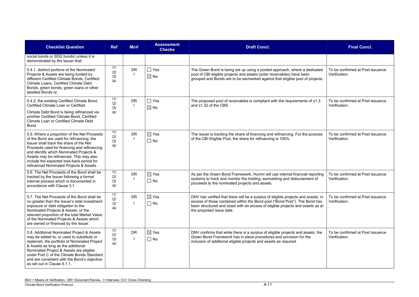| <b>Checklist Question</b>                                                                                                                                                                                                                                                                                                                                        | <b>Ref</b>               | <b>MoV</b> | <b>Assessment</b><br><b>Checks</b> | <b>Draft Concl.</b>                                                                                                                                                                                                                                                                                            | <b>Final Concl.</b>                               |
|------------------------------------------------------------------------------------------------------------------------------------------------------------------------------------------------------------------------------------------------------------------------------------------------------------------------------------------------------------------|--------------------------|------------|------------------------------------|----------------------------------------------------------------------------------------------------------------------------------------------------------------------------------------------------------------------------------------------------------------------------------------------------------------|---------------------------------------------------|
| social bonds or SDG bonds) unless it is<br>demonstrated by the Issuer that:                                                                                                                                                                                                                                                                                      |                          |            |                                    |                                                                                                                                                                                                                                                                                                                |                                                   |
| 5.4.1. distinct portions of the Nominated<br>Projects & Assets are being funded by<br>different Certified Climate Bonds, Certified<br>Climate Loans, Certified Climate Debt<br>Bonds, green bonds, green loans or other<br>labelled Bonds or,                                                                                                                    | 11/<br> 2 <br>/3/<br> 4  | <b>DR</b>  | $\Box$ Yes<br>$\boxtimes$ No       | The Green Bond is being set up using a pooled approach, where a dedicated<br>pool of CBI eligible projects and assets (solar receivables) have been<br>grouped and Bonds are to be earmarked against that eligible pool of projects.                                                                           | To be confirmed at Post Issuance<br>Verification. |
| 5.4.2. the existing Certified Climate Bond,<br>Certified Climate Loan or Certified<br>Climate Debt Bond is being refinanced via<br>another Certified Climate Bond, Certified<br><b>Climate Loan or Certified Climate Debt</b><br>Bond.                                                                                                                           | 111<br> 2 <br>/3/<br>/4/ | <b>DR</b>  | $\Box$ Yes<br>$\boxtimes$ No       | The proposed pool of receivables is compliant with the requirements of s1.3<br>and s1.32 of the CBS.                                                                                                                                                                                                           | To be confirmed at Post Issuance<br>Verification. |
| 5.5. Where a proportion of the Net Proceeds<br>of the Bond are used for refinancing, the<br>Issuer shall track the share of the Net<br>Proceeds used for financing and refinancing<br>and identify which Nominated Projects &<br>Assets may be refinanced. This may also<br>include the expected look-back period for<br>refinanced Nominated Projects & Assets. | 111<br> 2 <br>131<br> 4  | <b>DR</b>  | $\boxtimes$ Yes<br>$\Box$ No       | The issuer is tracking the share of financing and refinancing. For the purpose<br>of the CBI Eligible Pool, the share for refinancing is 100%.                                                                                                                                                                 | To be confirmed at Post Issuance<br>Verification. |
| 5.6. The Net Proceeds of the Bond shall be<br>tracked by the Issuer following a formal<br>internal process which is documented in<br>accordance with Clause 3.1.                                                                                                                                                                                                 | 111<br> 2 <br>/3/<br> 4  | <b>DR</b>  | $\boxtimes$ Yes<br>$\Box$ No       | As per the Green Bond Framework, Humm will use internal financial reporting<br>systems to track and monitor the holding, earmarking and disbursement of<br>proceeds to the nominated projects and assets.                                                                                                      | To be confirmed at Post Issuance<br>Verification. |
| 5.7. The Net Proceeds of the Bond shall be<br>no greater than the Issuer's total investment<br>exposure or debt obligation to the<br>Nominated Projects & Assets, or the<br>relevant proportion of the total Market Value<br>of the Nominated Projects & Assets which<br>are owned or financed by the Issuer.                                                    | 111<br>121<br>/3/<br> 4  | <b>DR</b>  | $\boxtimes$ Yes<br>$\Box$ No       | DNV has verified that there will be a surplus of eligible projects and assets, in To be confirmed at Post Issuance<br>excess of those contained within the Bond pool ("Bond Pool"). The Bond has<br>been structured and sized with an excess of eligible projects and assets as at<br>the proposed issue date. | Verification.                                     |
| 5.8. Additional Nominated Project & Assets<br>may be added to, or used to substitute or<br>replenish, the portfolio of Nominated Project<br>& Assets as long as the additional<br>Nominated Project & Assets are eligible<br>under Part C of the Climate Bonds Standard<br>and are consistent with the Bond's objective<br>as set out in Clause 6.1.1.           | 11/<br> 2 <br>/3/<br>/4/ | <b>DR</b>  | $\boxtimes$ Yes<br>$\Box$ No       | DNV confirms that while there is a surplus of eligible projects and assets, the<br>Green Bond Framework has in place procedures and provision for the<br>inclusion of additional eligible projects and assets as required.                                                                                     | To be confirmed at Post Issuance<br>Verification. |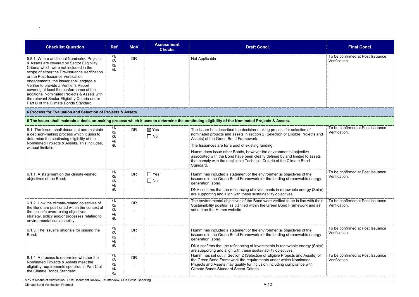| <b>Checklist Question</b>                                                                                                                                                                                                                                                                                                                                                                                                                                                                            | <b>Ref</b>                      | <b>MoV</b> | <b>Assessment</b><br><b>Checks</b> | <b>Draft Concl.</b>                                                                                                                                                                                                                                                                                                                                                                                                                                                                            | <b>Final Concl.</b>                               |
|------------------------------------------------------------------------------------------------------------------------------------------------------------------------------------------------------------------------------------------------------------------------------------------------------------------------------------------------------------------------------------------------------------------------------------------------------------------------------------------------------|---------------------------------|------------|------------------------------------|------------------------------------------------------------------------------------------------------------------------------------------------------------------------------------------------------------------------------------------------------------------------------------------------------------------------------------------------------------------------------------------------------------------------------------------------------------------------------------------------|---------------------------------------------------|
| 5.8.1. Where additional Nominated Projects<br>& Assets are covered by Sector Eligibility<br>Criteria which were not included in the<br>scope of either the Pre-Issuance Verification<br>or the Post-Issuance Verification<br>engagements, the Issuer shall engage a<br>Verifier to provide a Verifier's Report<br>covering at least the conformance of the<br>additional Nominated Projects & Assets with<br>the relevant Sector Eligibility Criteria under<br>Part C of the Climate Bonds Standard. | /1/<br>/2/<br>/3/<br> 4         | <b>DR</b>  |                                    | Not Applicable                                                                                                                                                                                                                                                                                                                                                                                                                                                                                 | To be confirmed at Post Issuance<br>Verification. |
| 6 Process for Evaluation and Selection of Projects & Assets                                                                                                                                                                                                                                                                                                                                                                                                                                          |                                 |            |                                    |                                                                                                                                                                                                                                                                                                                                                                                                                                                                                                |                                                   |
|                                                                                                                                                                                                                                                                                                                                                                                                                                                                                                      |                                 |            |                                    | 6 The Issuer shall maintain a decision-making process which it uses to determine the continuing eligibility of the Nominated Projects & Assets.                                                                                                                                                                                                                                                                                                                                                |                                                   |
| 6.1. The Issuer shall document and maintain<br>a decision-making process which it uses to<br>determine the continuing eligibility of the<br>Nominated Projects & Assets. This includes,<br>without limitation:                                                                                                                                                                                                                                                                                       | 11/<br>/2/<br>/3/<br>/4/<br>/5/ | <b>DR</b>  | $\boxtimes$ Yes<br>$\Box$ No       | The issuer has described the decision-making process for selection of<br>nominated projects and assets in section 2 (Selection of Eligible Projects and<br>Assets) of the Green Bond Framework.<br>The Issuances are for a pool of existing funding.<br>Humm does issue other Bonds, however the environmental objective<br>associated with the Bond have been clearly defined by and limited to assets<br>that comply with the applicable Technical Criteria of the Climate Bond<br>Standard. | To be confirmed at Post Issuance<br>Verification. |
| 6.1.1. A statement on the climate-related<br>objectives of the Bond;                                                                                                                                                                                                                                                                                                                                                                                                                                 | /1/<br> 2 <br>/3/<br> 4 <br>/5/ | <b>DR</b>  | $\Box$ Yes<br>$\square$ No         | Humm has included a statement of the environmental objectives of the<br>issuance in the Green Bond Framework for the funding of renewable energy<br>generation (solar).<br>DNV confirms that the refinancing of investments in renewable energy (Solar)<br>are supporting and align with these sustainability objectives.                                                                                                                                                                      | To be confirmed at Post Issuance<br>Verification. |
| 6.1.2. How the climate-related objectives of<br>the Bond are positioned within the context of<br>the Issuer's overarching objectives,<br>strategy, policy and/or processes relating to<br>environmental sustainability;                                                                                                                                                                                                                                                                              | 111<br>121<br>/3/<br> 4 <br>/5/ | <b>DR</b>  |                                    | The environmental objectives of the Bond were verified to be in line with their<br>Sustainability position as clarified within the Green Bond Framework and as<br>set out on the Humm website.                                                                                                                                                                                                                                                                                                 | To be confirmed at Post Issuance<br>Verification. |
| 6.1.3. The Issuer's rationale for issuing the<br>Bond;                                                                                                                                                                                                                                                                                                                                                                                                                                               | 111<br>121<br>/3/<br> 4 <br>/5/ | <b>DR</b>  |                                    | Humm has included a statement of the environmental objectives of the<br>issuance in the Green Bond Framework for the funding of renewable energy<br>generation (solar).<br>DNV confirms that the refinancing of investments in renewable energy (Solar)<br>are supporting and align with these sustainability objectives.                                                                                                                                                                      | To be confirmed at Post Issuance<br>Verification. |
| 6.1.4. A process to determine whether the<br>Nominated Projects & Assets meet the<br>eligibility requirements specified in Part C of<br>the Climate Bonds Standard;                                                                                                                                                                                                                                                                                                                                  | /1/<br> 2 <br>/3/<br> 4 <br>/5/ | <b>DR</b>  |                                    | Humm has set out in Section 2 (Selection of Eligible Projects and Assets) of<br>the Green Bond Framework the requirements under which Nominated<br>Projects and Assets may qualify for inclusion including compliance with<br>Climate Bonds Standard Sector Criteria.                                                                                                                                                                                                                          | To be confirmed at Post Issuance<br>Verification. |

|                      | <b>Final Concl.</b>                               |
|----------------------|---------------------------------------------------|
|                      | To be confirmed at Post Issuance<br>Verification. |
|                      |                                                   |
|                      |                                                   |
| and                  | To be confirmed at Post Issuance<br>Verification. |
| ets                  |                                                   |
| gу<br>$\lambda$ lar) | To be confirmed at Post Issuance<br>Verification. |
| าeir<br>ЭS           | To be confirmed at Post Issuance<br>Verification. |
| gу<br>$\lambda$ lar) | To be confirmed at Post Issuance<br>Verification. |
| οf                   | To be confirmed at Post Issuance<br>Verification. |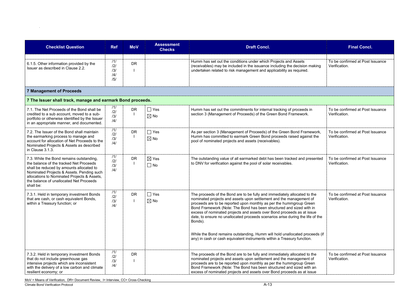Climate Bond Verification Protocol A-13

| <b>Checklist Question</b>                                                      | <b>Ref</b>                                            | <b>MoV</b> | <b>Assessment</b><br><b>Checks</b> | <b>Draft Concl.</b>                                                                                                                                                                                                 |
|--------------------------------------------------------------------------------|-------------------------------------------------------|------------|------------------------------------|---------------------------------------------------------------------------------------------------------------------------------------------------------------------------------------------------------------------|
| 6.1.5. Other information provided by the<br>Issuer as described in Clause 2.2. | 11/<br>$\overline{2}$<br>/3/<br>$\frac{14}{1}$<br>/5/ | <b>DR</b>  |                                    | Humm has set out the conditions under which Projects and Assets<br>(receivables) may be included in the issuance including the decision mak<br>undertaken related to risk management and applicability as required. |

| <b>Checklist Question</b>                                                                                                                                                                                                                                                           | <b>Ref</b>                      | <b>MoV</b> | <b>Assessment</b><br><b>Checks</b> | <b>Draft Concl.</b>                                                                                                                                                                                                                                                                                                                                                                                                                                                                                                                                                                                                              | <b>Final Concl.</b>                               |
|-------------------------------------------------------------------------------------------------------------------------------------------------------------------------------------------------------------------------------------------------------------------------------------|---------------------------------|------------|------------------------------------|----------------------------------------------------------------------------------------------------------------------------------------------------------------------------------------------------------------------------------------------------------------------------------------------------------------------------------------------------------------------------------------------------------------------------------------------------------------------------------------------------------------------------------------------------------------------------------------------------------------------------------|---------------------------------------------------|
| 6.1.5. Other information provided by the<br>Issuer as described in Clause 2.2.                                                                                                                                                                                                      | 11/<br> 2 <br>/3/<br> 4 <br>/5/ | <b>DR</b>  |                                    | Humm has set out the conditions under which Projects and Assets<br>(receivables) may be included in the issuance including the decision making<br>undertaken related to risk management and applicability as required.                                                                                                                                                                                                                                                                                                                                                                                                           | To be confirmed at Post Issuance<br>Verification. |
| <b>7 Management of Proceeds</b>                                                                                                                                                                                                                                                     |                                 |            |                                    |                                                                                                                                                                                                                                                                                                                                                                                                                                                                                                                                                                                                                                  |                                                   |
| 7 The Issuer shall track, manage and earmark Bond proceeds.                                                                                                                                                                                                                         |                                 |            |                                    |                                                                                                                                                                                                                                                                                                                                                                                                                                                                                                                                                                                                                                  |                                                   |
| 7.1. The Net Proceeds of the Bond shall be<br>credited to a sub account, moved to a sub-<br>portfolio or otherwise identified by the Issuer<br>in an appropriate manner, and documented.                                                                                            | /1/<br> 2 <br>131<br> 4         | <b>DR</b>  | $\Box$ Yes<br>$\boxtimes$ No       | Humm has set out the commitments for internal tracking of proceeds in<br>section 3 (Management of Proceeds) of the Green Bond Framework.                                                                                                                                                                                                                                                                                                                                                                                                                                                                                         | To be confirmed at Post Issuance<br>Verification. |
| 7.2. The Issuer of the Bond shall maintain<br>the earmarking process to manage and<br>account for allocation of Net Proceeds to the<br>Nominated Projects & Assets as described<br>in Clause 3.1.3.                                                                                 | 111<br>121<br>/3/<br> 4         | <b>DR</b>  | $\Box$ Yes<br>$\boxtimes$ No       | As per section 3 (Management of Proceeds) of the Green Bond Framework,<br>Humm has committed to earmark Green Bond proceeds raised against the<br>pool of nominated projects and assets (receivables).                                                                                                                                                                                                                                                                                                                                                                                                                           | To be confirmed at Post Issuance<br>Verification. |
| 7.3. While the Bond remains outstanding,<br>the balance of the tracked Net Proceeds<br>shall be reduced by amounts allocated to<br>Nominated Projects & Assets. Pending such<br>allocations to Nominated Projects & Assets,<br>the balance of unallocated Net Proceeds<br>shall be: | 111<br> 2 <br>/3/<br> 4         | <b>DR</b>  | $\boxtimes$ Yes<br>$\Box$ No       | The outstanding value of all earmarked debt has been tracked and presented<br>to DNV for verification against the pool of solar receivables.                                                                                                                                                                                                                                                                                                                                                                                                                                                                                     | To be confirmed at Post Issuance<br>Verification. |
| 7.3.1. Held in temporary investment Bonds<br>that are cash, or cash equivalent Bonds,<br>within a Treasury function; or                                                                                                                                                             | 111<br> 2 <br>/3/<br> 4         | <b>DR</b>  | $\Box$ Yes<br>$\boxtimes$ No       | The proceeds of the Bond are to be fully and immediately allocated to the<br>nominated projects and assets upon settlement and the management of<br>proceeds are to be reported upon monthly as per the hummgroup Green<br>Bond Framework (Note: The Bond has been structured and sized with in<br>excess of nominated projects and assets over Bond proceeds as at issue<br>date, to ensure no unallocated proceeds scenarios arise during the life of the<br>Bonds).<br>While the Bond remains outstanding, Humm will hold unallocated proceeds (if<br>any) in cash or cash equivalent instruments within a Treasury function. | To be confirmed at Post Issuance<br>Verification. |
| 7.3.2. Held in temporary investment Bonds<br>that do not include greenhouse gas<br>intensive projects which are inconsistent<br>with the delivery of a low carbon and climate<br>resilient economy; or                                                                              | /1/<br>121<br>/3/<br> 4         | <b>DR</b>  |                                    | The proceeds of the Bond are to be fully and immediately allocated to the<br>nominated projects and assets upon settlement and the management of<br>proceeds are to be reported upon monthly as per the hummgroup Green<br>Bond Framework (Note: The Bond has been structured and sized with an<br>excess of nominated projects and assets over Bond proceeds as at issue                                                                                                                                                                                                                                                        | To be confirmed at Post Issuance<br>Verification. |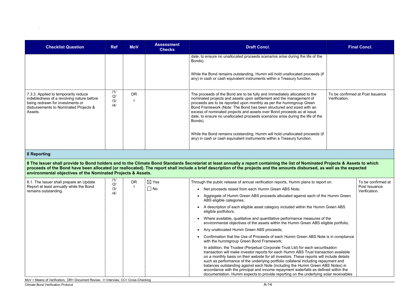| <b>Checklist Question</b>                                                                                                                                                 | <b>Ref</b>              | <b>MoV</b> | <b>Assessment</b><br><b>Checks</b> | <b>Draft Concl.</b>                                                                                                                                                                                                                                                                                                                                                                                                                                                                                                                                                                                                              |               | <b>Final Concl.</b>              |
|---------------------------------------------------------------------------------------------------------------------------------------------------------------------------|-------------------------|------------|------------------------------------|----------------------------------------------------------------------------------------------------------------------------------------------------------------------------------------------------------------------------------------------------------------------------------------------------------------------------------------------------------------------------------------------------------------------------------------------------------------------------------------------------------------------------------------------------------------------------------------------------------------------------------|---------------|----------------------------------|
|                                                                                                                                                                           |                         |            |                                    | date, to ensure no unallocated proceeds scenarios arise during the life of the<br>Bonds).<br>While the Bond remains outstanding, Humm will hold unallocated proceeds (if<br>any) in cash or cash equivalent instruments within a Treasury function.                                                                                                                                                                                                                                                                                                                                                                              |               |                                  |
| 7.3.3. Applied to temporarily reduce<br>indebtedness of a revolving nature before<br>being redrawn for investments or<br>disbursements to Nominated Projects &<br>Assets. | 111<br>121<br>/3/<br> 4 | <b>DR</b>  |                                    | The proceeds of the Bond are to be fully and immediately allocated to the<br>nominated projects and assets upon settlement and the management of<br>proceeds are to be reported upon monthly as per the hummgroup Green<br>Bond Framework (Note: The Bond has been structured and sized with an<br>excess of nominated projects and assets over Bond proceeds as at issue<br>date, to ensure no unallocated proceeds scenarios arise during the life of the<br>Bonds).<br>While the Bond remains outstanding, Humm will hold unallocated proceeds (if<br>any) in cash or cash equivalent instruments within a Treasury function. | Verification. | To be confirmed at Post Issuance |
|                                                                                                                                                                           |                         |            |                                    |                                                                                                                                                                                                                                                                                                                                                                                                                                                                                                                                                                                                                                  |               |                                  |
| 8 Reporting                                                                                                                                                               |                         |            |                                    |                                                                                                                                                                                                                                                                                                                                                                                                                                                                                                                                                                                                                                  |               |                                  |
| environmental objectives of the Nominated Projects & Assets.                                                                                                              |                         |            |                                    | 8 The Issuer shall provide to Bond holders and to the Climate Bond Standards Secretariat at least annually a report containing the list of Nominated Projects & Assets to which<br>proceeds of the Bond have been allocated (or reallocated). The report shall include a brief description of the projects and the amounts disbursed, as well as the expected                                                                                                                                                                                                                                                                    |               |                                  |
| 8.1. The Issuer shall prepare an Update                                                                                                                                   | 11/<br> 2               | <b>DR</b>  | $\boxtimes$ Yes                    | Through the public release of annual verification reports, Humm plans to report on:                                                                                                                                                                                                                                                                                                                                                                                                                                                                                                                                              |               | To be confirmed at               |
| Report at least annually while the Bond<br>remains outstanding.                                                                                                           | /3/                     |            | $\square$ No                       | Net proceeds raised from each Humm Green ABS Note;                                                                                                                                                                                                                                                                                                                                                                                                                                                                                                                                                                               |               | Post Issuance<br>Verification.   |
|                                                                                                                                                                           | /4/                     |            |                                    | • Aggregate of Humm Green ABS proceeds allocated against each of the Humm Green<br>ABS eligible categories;                                                                                                                                                                                                                                                                                                                                                                                                                                                                                                                      |               |                                  |
|                                                                                                                                                                           |                         |            |                                    | A description of each eligible asset category included within the Humm Green ABS<br>eligible portfolio/s;                                                                                                                                                                                                                                                                                                                                                                                                                                                                                                                        |               |                                  |
|                                                                                                                                                                           |                         |            |                                    | • Where available, qualitative and quantitative performance measures of the<br>environmental objectives of the assets within the Humm Green ABS eligible portfolio;                                                                                                                                                                                                                                                                                                                                                                                                                                                              |               |                                  |
|                                                                                                                                                                           |                         |            |                                    | Any unallocated Humm Green ABS proceeds;<br>$\bullet$                                                                                                                                                                                                                                                                                                                                                                                                                                                                                                                                                                            |               |                                  |
|                                                                                                                                                                           |                         |            |                                    | Confirmation that the Use of Proceeds of each Humm Green ABS Note is in compliance<br>with the hummgroup Green Bond Framework;                                                                                                                                                                                                                                                                                                                                                                                                                                                                                                   |               |                                  |
|                                                                                                                                                                           |                         |            |                                    | In addition, the Trustee (Perpetual Corporate Trust Ltd) for each securitisation<br>transaction will make investor reports for each Humm ABS Trust transaction available<br>on a monthly basis on their website for all investors. These reports will include details<br>such as performance of the underlying portfolio collateral including repayment and<br>balances outstanding against each Note (including the Humm Green ABS Notes) in<br>accordance with the principal and income repayment waterfalls as defined within the<br>documentation. Humm expects to provide reporting on the underlying solar receivables     |               |                                  |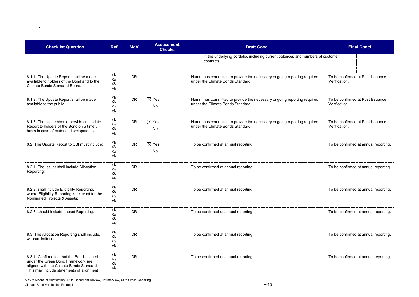|   | <b>Final Concl.</b>                               |
|---|---------------------------------------------------|
|   | s of customer                                     |
| d | To be confirmed at Post Issuance<br>Verification. |
| d | To be confirmed at Post Issuance<br>Verification. |
| d | To be confirmed at Post Issuance<br>Verification. |
|   | To be confirmed at annual reporting.              |
|   | To be confirmed at annual reporting.              |
|   | To be confirmed at annual reporting.              |
|   | To be confirmed at annual reporting.              |
|   | To be confirmed at annual reporting.              |
|   | To be confirmed at annual reporting.              |

| <b>Checklist Question</b>                                                                                                                                               | <b>Ref</b>                          | <b>MoV</b> | <b>Assessment</b><br><b>Checks</b> | <b>Draft Concl.</b>                                                                                         | <b>Final Concl.</b>                               |  |
|-------------------------------------------------------------------------------------------------------------------------------------------------------------------------|-------------------------------------|------------|------------------------------------|-------------------------------------------------------------------------------------------------------------|---------------------------------------------------|--|
|                                                                                                                                                                         |                                     |            |                                    | in the underlying portfolio, including current balances and numbers of customer<br>contracts.               |                                                   |  |
| 8.1.1. The Update Report shall be made<br>available to holders of the Bond and to the<br>Climate Bonds Standard Board.                                                  | /1/<br>/2/<br>/3/<br> 4             | <b>DR</b>  |                                    | Humm has committed to provide the necessary ongoing reporting required<br>under the Climate Bonds Standard. | To be confirmed at Post Issuance<br>Verification. |  |
| 8.1.2. The Update Report shall be made<br>available to the public.                                                                                                      | 111<br>/2/<br>/3/<br> 4             | <b>DR</b>  | $\boxtimes$ Yes<br>$\Box$ No       | Humm has committed to provide the necessary ongoing reporting required<br>under the Climate Bonds Standard. | To be confirmed at Post Issuance<br>Verification. |  |
| 8.1.3. The Issuer should provide an Update<br>Report to holders of the Bond on a timely<br>basis in case of material developments.                                      | 111<br>/2/<br>/3/<br>$\frac{14}{3}$ | <b>DR</b>  | $\boxtimes$ Yes<br>$\Box$ No       | Humm has committed to provide the necessary ongoing reporting required<br>under the Climate Bonds Standard. | To be confirmed at Post Issuance<br>Verification. |  |
| 8.2. The Update Report to CBI must include:                                                                                                                             | 111<br>/2/<br>/3/<br> 4             | <b>DR</b>  | $\boxtimes$ Yes<br>$\Box$ No       | To be confirmed at annual reporting.                                                                        | To be confirmed at annual reporting               |  |
| 8.2.1. The Issuer shall include Allocation<br>Reporting;                                                                                                                | 111<br>/2/<br>/3/<br> 4             | <b>DR</b>  |                                    | To be confirmed at annual reporting.                                                                        | To be confirmed at annual reporting               |  |
| 8.2.2. shall include Eligibility Reporting,<br>where Eligibility Reporting is relevant for the<br>Nominated Projects & Assets;                                          | 111<br>/2/<br>/3/<br> 4             | <b>DR</b>  |                                    | To be confirmed at annual reporting.                                                                        | To be confirmed at annual reporting.              |  |
| 8.2.3. should include Impact Reporting.                                                                                                                                 | 111<br> 2 <br>/3/<br>$\frac{14}{3}$ | <b>DR</b>  |                                    | To be confirmed at annual reporting.                                                                        | To be confirmed at annual reporting               |  |
| 8.3. The Allocation Reporting shall include,<br>without limitation:                                                                                                     | 111<br>/2/<br>/3/<br>$\frac{14}{3}$ | <b>DR</b>  |                                    | To be confirmed at annual reporting.                                                                        | To be confirmed at annual reporting               |  |
| 8.3.1. Confirmation that the Bonds issued<br>under the Green Bond Framework are<br>aligned with the Climate Bonds Standard.<br>This may include statements of alignment | /1/<br> 2 <br>/3/<br>/4/            | <b>DR</b>  |                                    | To be confirmed at annual reporting.                                                                        | To be confirmed at annual reporting               |  |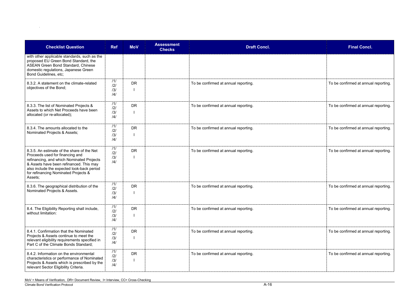| <b>Final Concl.</b>                  |
|--------------------------------------|
|                                      |
| To be confirmed at annual reporting. |
| To be confirmed at annual reporting. |
| To be confirmed at annual reporting. |
| To be confirmed at annual reporting. |
| To be confirmed at annual reporting. |
| To be confirmed at annual reporting. |
| To be confirmed at annual reporting. |
| To be confirmed at annual reporting. |

| <b>Checklist Question</b>                                                                                                                                                                                                                                              | <b>Ref</b>               | <b>MoV</b> | <b>Assessment</b><br><b>Checks</b> | <b>Draft Concl.</b>                  | <b>Final Concl.</b>                  |
|------------------------------------------------------------------------------------------------------------------------------------------------------------------------------------------------------------------------------------------------------------------------|--------------------------|------------|------------------------------------|--------------------------------------|--------------------------------------|
| with other applicable standards, such as the<br>proposed EU Green Bond Standard, the<br><b>ASEAN Green Bond Standard, Chinese</b><br>domestic regulations, Japanese Green<br>Bond Guidelines, etc;                                                                     |                          |            |                                    |                                      |                                      |
| 8.3.2. A statement on the climate-related<br>objectives of the Bond;                                                                                                                                                                                                   | 111<br>/2/<br>/3/<br>/4/ | <b>DR</b>  |                                    | To be confirmed at annual reporting. | To be confirmed at annual reporting. |
| 8.3.3. The list of Nominated Projects &<br>Assets to which Net Proceeds have been<br>allocated (or re-allocated);                                                                                                                                                      | 111<br>/2/<br>/3/<br>/4/ | <b>DR</b>  |                                    | To be confirmed at annual reporting. | To be confirmed at annual reporting. |
| 8.3.4. The amounts allocated to the<br>Nominated Projects & Assets;                                                                                                                                                                                                    | 111<br>/2/<br>/3/<br>/4/ | <b>DR</b>  |                                    | To be confirmed at annual reporting. | To be confirmed at annual reporting. |
| 8.3.5. An estimate of the share of the Net<br>Proceeds used for financing and<br>refinancing, and which Nominated Projects<br>& Assets have been refinanced. This may<br>also include the expected look-back period<br>for refinancing Nominated Projects &<br>Assets; | /1/<br>/2/<br>/3/<br>/4/ | <b>DR</b>  |                                    | To be confirmed at annual reporting. | To be confirmed at annual reporting. |
| 8.3.6. The geographical distribution of the<br>Nominated Projects & Assets.                                                                                                                                                                                            | 111<br>/2/<br>/3/<br> 4  | <b>DR</b>  |                                    | To be confirmed at annual reporting. | To be confirmed at annual reporting. |
| 8.4. The Eligibility Reporting shall include,<br>without limitation:                                                                                                                                                                                                   | /1/<br>/2/<br>/3/<br>/4/ | <b>DR</b>  |                                    | To be confirmed at annual reporting. | To be confirmed at annual reporting. |
| 8.4.1. Confirmation that the Nominated<br>Projects & Assets continue to meet the<br>relevant eligibility requirements specified in<br>Part C of the Climate Bonds Standard;                                                                                            | 111<br> 2 <br>/3/<br>/4/ | <b>DR</b>  |                                    | To be confirmed at annual reporting. | To be confirmed at annual reporting. |
| 8.4.2. Information on the environmental<br>characteristics or performance of Nominated<br>Projects & Assets which is prescribed by the<br>relevant Sector Eligibility Criteria.                                                                                        | 111<br>/2/<br>/3/<br>/4/ | <b>DR</b>  |                                    | To be confirmed at annual reporting. | To be confirmed at annual reporting. |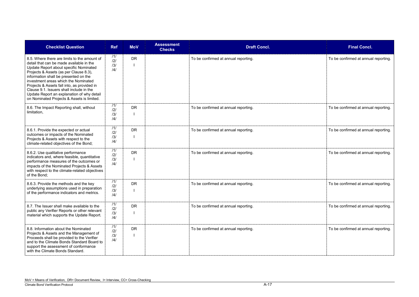| <b>Final Concl.</b>                  |
|--------------------------------------|
| To be confirmed at annual reporting. |
| To be confirmed at annual reporting. |
| To be confirmed at annual reporting. |
| To be confirmed at annual reporting. |
| To be confirmed at annual reporting. |
| To be confirmed at annual reporting. |
| To be confirmed at annual reporting. |

| <b>Checklist Question</b>                                                                                                                                                                                                                                                                                                                                                                                                                            | <b>Ref</b>               | <b>MoV</b> | <b>Assessment</b><br><b>Checks</b> | <b>Draft Concl.</b>                  | <b>Final Concl.</b>                  |
|------------------------------------------------------------------------------------------------------------------------------------------------------------------------------------------------------------------------------------------------------------------------------------------------------------------------------------------------------------------------------------------------------------------------------------------------------|--------------------------|------------|------------------------------------|--------------------------------------|--------------------------------------|
| 8.5. Where there are limits to the amount of<br>detail that can be made available in the<br>Update Report about specific Nominated<br>Projects & Assets (as per Clause 8.3),<br>information shall be presented on the<br>investment areas which the Nominated<br>Projects & Assets fall into, as provided in<br>Clause 9.1. Issuers shall include in the<br>Update Report an explanation of why detail<br>on Nominated Projects & Assets is limited. | /1/<br>121<br>/3/<br>/4/ | <b>DR</b>  |                                    | To be confirmed at annual reporting. | To be confirmed at annual reporting. |
| 8.6. The Impact Reporting shall, without<br>limitation,                                                                                                                                                                                                                                                                                                                                                                                              | 111<br>121<br>/3/<br>/4/ | <b>DR</b>  |                                    | To be confirmed at annual reporting. | To be confirmed at annual reporting. |
| 8.6.1. Provide the expected or actual<br>outcomes or impacts of the Nominated<br>Projects & Assets with respect to the<br>climate-related objectives of the Bond;                                                                                                                                                                                                                                                                                    | 111<br>121<br>/3/<br>/4/ | <b>DR</b>  |                                    | To be confirmed at annual reporting. | To be confirmed at annual reporting. |
| 8.6.2. Use qualitative performance<br>indicators and, where feasible, quantitative<br>performance measures of the outcomes or<br>impacts of the Nominated Projects & Assets<br>with respect to the climate-related objectives<br>of the Bond;                                                                                                                                                                                                        | 111<br>121<br>/3/<br>/4/ | <b>DR</b>  |                                    | To be confirmed at annual reporting. | To be confirmed at annual reporting. |
| 8.6.3. Provide the methods and the key<br>underlying assumptions used in preparation<br>of the performance indicators and metrics.                                                                                                                                                                                                                                                                                                                   | 111<br>121<br>/3/<br>/4/ | <b>DR</b>  |                                    | To be confirmed at annual reporting. | To be confirmed at annual reporting. |
| 8.7. The Issuer shall make available to the<br>public any Verifier Reports or other relevant<br>material which supports the Update Report.                                                                                                                                                                                                                                                                                                           | 111<br>121<br>/3/<br>/4/ | <b>DR</b>  |                                    | To be confirmed at annual reporting. | To be confirmed at annual reporting. |
| 8.8. Information about the Nominated<br>Projects & Assets and the Management of<br>Proceeds shall be provided to the Verifier<br>and to the Climate Bonds Standard Board to<br>support the assessment of conformance<br>with the Climate Bonds Standard.                                                                                                                                                                                             | 111<br>121<br>/3/<br>/4/ | <b>DR</b>  |                                    | To be confirmed at annual reporting. | To be confirmed at annual reporting. |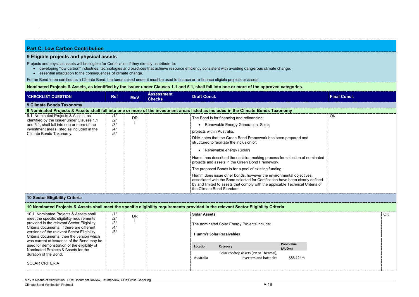| <b>Part C: Low Carbon Contribution</b>                                                                                                                         |                                                                                                                               |            |                                    |                                                                                                                                                                                                                                                                    |                     |  |  |  |  |
|----------------------------------------------------------------------------------------------------------------------------------------------------------------|-------------------------------------------------------------------------------------------------------------------------------|------------|------------------------------------|--------------------------------------------------------------------------------------------------------------------------------------------------------------------------------------------------------------------------------------------------------------------|---------------------|--|--|--|--|
| 9 Eligible projects and physical assets                                                                                                                        |                                                                                                                               |            |                                    |                                                                                                                                                                                                                                                                    |                     |  |  |  |  |
| Projects and physical assets will be eligible for Certification if they directly contribute to:<br>essential adaptation to the consequences of climate change. |                                                                                                                               |            |                                    | developing "low carbon" industries, technologies and practices that achieve resource efficiency consistent with avoiding dangerous climate change.                                                                                                                 |                     |  |  |  |  |
| For an Bond to be certified as a Climate Bond, the funds raised under it must be used to finance or re-finance eligible projects or assets.                    |                                                                                                                               |            |                                    |                                                                                                                                                                                                                                                                    |                     |  |  |  |  |
|                                                                                                                                                                |                                                                                                                               |            |                                    | Nominated Projects & Assets, as identified by the Issuer under Clauses 1.1 and 5.1, shall fall into one or more of the approved categories.                                                                                                                        |                     |  |  |  |  |
| <b>CHECKLIST QUESTION</b>                                                                                                                                      | <b>Ref</b>                                                                                                                    | <b>MoV</b> | <b>Assessment</b><br><b>Checks</b> | <b>Draft Concl.</b>                                                                                                                                                                                                                                                | <b>Final Concl.</b> |  |  |  |  |
| 9 Climate Bonds Taxonomy                                                                                                                                       |                                                                                                                               |            |                                    |                                                                                                                                                                                                                                                                    |                     |  |  |  |  |
|                                                                                                                                                                |                                                                                                                               |            |                                    | 9 Nominated Projects & Assets shall fall into one or more of the investment areas listed as included in the Climate Bonds Taxonomy                                                                                                                                 |                     |  |  |  |  |
| 9.1. Nominated Projects & Assets, as<br>identified by the Issuer under Clauses 1.1                                                                             | 11/<br>/2/                                                                                                                    | <b>DR</b>  |                                    | The Bond is for financing and refinancing:                                                                                                                                                                                                                         | OK                  |  |  |  |  |
| and 5.1, shall fall into one or more of the                                                                                                                    | /3/                                                                                                                           |            |                                    | • Renewable Energy Generation, Solar;                                                                                                                                                                                                                              |                     |  |  |  |  |
| investment areas listed as included in the<br>Climate Bonds Taxonomy.                                                                                          | /4/<br>/5/                                                                                                                    |            |                                    | projects within Australia.                                                                                                                                                                                                                                         |                     |  |  |  |  |
|                                                                                                                                                                |                                                                                                                               |            |                                    | DNV notes that the Green Bond Framework has been prepared and<br>structured to facilitate the inclusion of:                                                                                                                                                        |                     |  |  |  |  |
|                                                                                                                                                                |                                                                                                                               |            |                                    | • Renewable energy (Solar)                                                                                                                                                                                                                                         |                     |  |  |  |  |
|                                                                                                                                                                | Humm has described the decision-making process for selection of nominated<br>projects and assets in the Green Bond Framework. |            |                                    |                                                                                                                                                                                                                                                                    |                     |  |  |  |  |
|                                                                                                                                                                |                                                                                                                               |            |                                    | The proposed Bonds is for a pool of existing funding.                                                                                                                                                                                                              |                     |  |  |  |  |
|                                                                                                                                                                |                                                                                                                               |            |                                    | Humm does issue other bonds, however the environmental objectives<br>associated with the Bond selected for Certification have been clearly defined<br>by and limited to assets that comply with the applicable Technical Criteria of<br>the Climate Bond Standard. |                     |  |  |  |  |
| <b>10 Sector Eligibility Criteria</b>                                                                                                                          |                                                                                                                               |            |                                    |                                                                                                                                                                                                                                                                    |                     |  |  |  |  |

| 10.1. Nominated Projects & Assets shall<br>meet the specific eligibility requirements<br>provided in the relevant Sector Eligibility<br>Criteria documents. If there are different<br>versions of the relevant Sector Eligibility<br>Criteria documents, then the version which<br>was current at issuance of the Bond may be | 111<br>DR<br>/2/<br>/3/<br>/4/<br>/5/ | <b>Solar Assets</b><br>The nominated Solar Energy Projects include:<br><b>Humm's Solar Receivables</b> |           |                                                                  |                             |
|-------------------------------------------------------------------------------------------------------------------------------------------------------------------------------------------------------------------------------------------------------------------------------------------------------------------------------|---------------------------------------|--------------------------------------------------------------------------------------------------------|-----------|------------------------------------------------------------------|-----------------------------|
| used for demonstration of the eligibility of<br>Nominated Projects & Assets for the                                                                                                                                                                                                                                           |                                       |                                                                                                        | Location  | Category                                                         | <b>Pool Value</b><br>(AUDm) |
| duration of the Bond.                                                                                                                                                                                                                                                                                                         |                                       |                                                                                                        | Australia | Solar rooftop assets (PV or Thermal),<br>inverters and batteries | \$88.124m                   |
| <b>SOLAR CRITERIA</b>                                                                                                                                                                                                                                                                                                         |                                       |                                                                                                        |           |                                                                  |                             |

## **10 Nominated Projects & Assets shall meet the specific eligibility requirements provided in the relevant Sector Eligibility Criteria.**

| <b>Final Concl.</b> |    |
|---------------------|----|
|                     |    |
|                     |    |
|                     |    |
|                     |    |
|                     |    |
|                     |    |
|                     |    |
|                     |    |
|                     |    |
|                     |    |
|                     |    |
|                     |    |
|                     |    |
|                     |    |
|                     | OK |
|                     |    |
|                     |    |
|                     |    |
|                     |    |
|                     |    |
|                     | OK |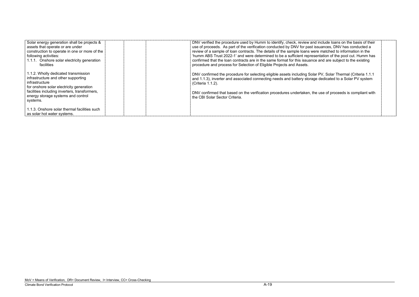I include loans on the basis of their ssuances, DNV has conducted a re matched to information in the entation of the pool cut. Humm has e and are subject to the existing

| Solar energy generation shall be projects &                                                                                                                                                | DNV verified the procedure used by Humm to identify, check, review and include loans on the basis of their                                                                                                                                  |
|--------------------------------------------------------------------------------------------------------------------------------------------------------------------------------------------|---------------------------------------------------------------------------------------------------------------------------------------------------------------------------------------------------------------------------------------------|
| assets that operate or are under                                                                                                                                                           | use of proceeds. As part of the verification conducted by DNV for past issuances, DNV has conducted a                                                                                                                                       |
| construction to operate in one or more of the                                                                                                                                              | review of a sample of loan contracts. The details of the sample loans were matched to information in the                                                                                                                                    |
| following activities:                                                                                                                                                                      | 'humm ABS Trust 2022-1' and were determined to be a sufficient representation of the pool cut. Humm has                                                                                                                                     |
| 1.1.1. Onshore solar electricity generation                                                                                                                                                | confirmed that the loan contracts are in the same format for this issuance and are subject to the existing                                                                                                                                  |
| facilities                                                                                                                                                                                 | procedure and process for Selection of Eligible Projects and Assets.                                                                                                                                                                        |
| 1.1.2. Wholly dedicated transmission<br>infrastructure and other supporting<br>infrastructure<br>for onshore solar electricity generation<br>facilities including inverters, transformers, | DNV confirmed the procedure for selecting eligible assets including Solar PV, Solar Thermal (Criteria 1.1.1<br>and 1.1.3), inverter and associated connecting needs and battery storage dedicated to a Solar PV system<br>(Criteria 1.1.2). |
| energy storage systems and control                                                                                                                                                         | DNV confirmed that based on the verification procedures undertaken, the use of proceeds is compliant with                                                                                                                                   |
| systems.                                                                                                                                                                                   | the CBI Solar Sector Criteria.                                                                                                                                                                                                              |
| 1.1.3. Onshore solar thermal facilities such<br>as solar hot water systems.                                                                                                                |                                                                                                                                                                                                                                             |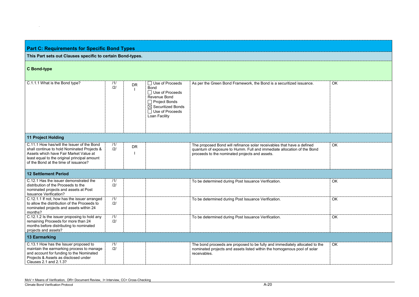| <b>Part C: Requirements for Specific Bond Types</b>                                                                                                                                                                         |            |           |                                                                                                                                                                                |                                                                                                                                                                                                    |           |  |  |
|-----------------------------------------------------------------------------------------------------------------------------------------------------------------------------------------------------------------------------|------------|-----------|--------------------------------------------------------------------------------------------------------------------------------------------------------------------------------|----------------------------------------------------------------------------------------------------------------------------------------------------------------------------------------------------|-----------|--|--|
| This Part sets out Clauses specific to certain Bond-types.                                                                                                                                                                  |            |           |                                                                                                                                                                                |                                                                                                                                                                                                    |           |  |  |
| <b>C</b> Bond-type                                                                                                                                                                                                          |            |           |                                                                                                                                                                                |                                                                                                                                                                                                    |           |  |  |
| C.1.1.1 What is the Bond type?                                                                                                                                                                                              | 11/<br> 2  | <b>DR</b> | $\Box$ Use of Proceeds<br><b>Bond</b><br>$\Box$ Use of Proceeds<br>Revenue Bond<br>$\Box$ Project Bonds<br>$\boxtimes$ Securitized Bonds<br>□ Use of Proceeds<br>Loan Facility | As per the Green Bond Framework, the Bond is a securitized issuance.                                                                                                                               | <b>OK</b> |  |  |
| <b>11 Project Holding</b>                                                                                                                                                                                                   |            |           |                                                                                                                                                                                |                                                                                                                                                                                                    |           |  |  |
| C.11.1 How has/will the Issuer of the Bond<br>shall continue to hold Nominated Projects &<br>Assets which have Fair Market Value at<br>least equal to the original principal amount<br>of the Bond at the time of issuance? | 111<br>121 | <b>DR</b> |                                                                                                                                                                                | The proposed Bond will refinance solar receivables that have a defined<br>quantum of exposure to Humm. Full and immediate allocation of the Bond<br>proceeds to the nominated projects and assets. | <b>OK</b> |  |  |
| <b>12 Settlement Period</b>                                                                                                                                                                                                 |            |           |                                                                                                                                                                                |                                                                                                                                                                                                    |           |  |  |
| C.12.1 Has the issuer demonstrated the<br>distribution of the Proceeds to the<br>nominated projects and assets at Post<br><b>Issuance Verification?</b>                                                                     | 111<br> 2  |           |                                                                                                                                                                                | To be determined during Post Issuance Verification.                                                                                                                                                | <b>OK</b> |  |  |
| C.12.1.1 If not, how has the issuer arranged<br>to allow the distribution of the Proceeds to<br>nominated projects and assets within 24<br>months?                                                                          | 111<br>121 |           |                                                                                                                                                                                | To be determined during Post Issuance Verification.                                                                                                                                                | OK        |  |  |
| C.12.1.2 Is the issuer proposing to hold any<br>remaining Proceeds for more than 24<br>months before distributing to nominated<br>projects and assets?                                                                      | 111<br>121 |           |                                                                                                                                                                                | To be determined during Post Issuance Verification.                                                                                                                                                | <b>OK</b> |  |  |
| <b>13 Earmarking</b>                                                                                                                                                                                                        |            |           |                                                                                                                                                                                |                                                                                                                                                                                                    |           |  |  |
| C.13.1 How has the Issuer proposed to<br>maintain the earmarking process to manage<br>and account for funding to the Nominated<br>Projects & Assets as disclosed under<br>Clauses 2.1 and 2.1.3?                            | 111<br>121 |           |                                                                                                                                                                                | The bond proceeds are proposed to be fully and immediately allocated to the<br>nominated projects and assets listed within the homogenous pool of solar<br>receivables.                            | OK        |  |  |